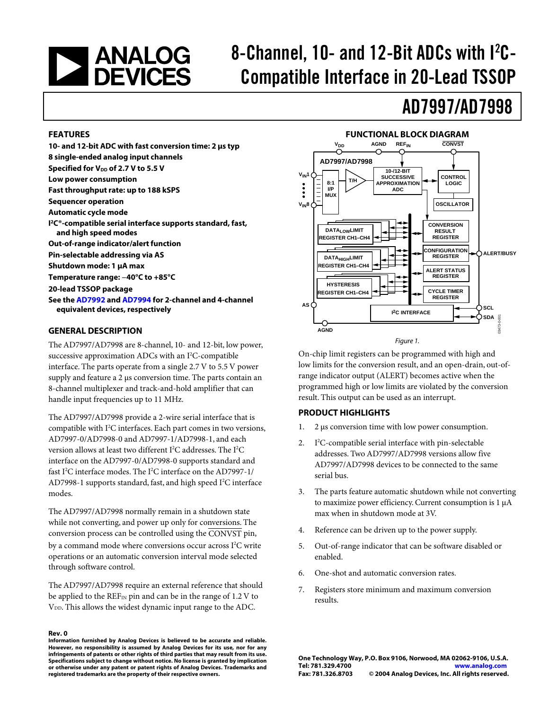# **EXAMALOG**<br>DEVICES

## 8-Channel, 10- and 12-Bit ADCs with I<sup>2</sup>C-Compatible Interface in 20-Lead TSSOP

### AD7997/AD7998

#### **FEATURES**

**10- and 12-bit ADC with fast conversion time: 2 µs typ 8 single-ended analog input channels Specified for V<sub>DD</sub> of 2.7 V to 5.5 V Low power consumption Fast throughput rate: up to 188 kSPS Sequencer operation Automatic cycle mode I 2C®-compatible serial interface supports standard, fast, and high speed modes Out-of-range indicator/alert function Pin-selectable addressing via AS Shutdown mode: 1 µA max Temperature range: −40°C to +85°C 20-lead TSSOP package See th[e AD7992 an](http://www.analog.com/en/prod/0%2C2877%2CAD7992%2C00.html)d [AD7994](http://www.analog.com/en/prod/0%2C2877%2CAD7994%2C00.html) for 2-channel and 4-channel equivalent devices, respectively**

#### **GENERAL DESCRIPTION**

The AD7997/AD7998 are 8-channel, 10- and 12-bit, low power, successive approximation ADCs with an  $I<sup>2</sup>C$ -compatible interface. The parts operate from a single 2.7 V to 5.5 V power supply and feature a 2 µs conversion time. The parts contain an 8-channel multiplexer and track-and-hold amplifier that can handle input frequencies up to 11 MHz.

The AD7997/AD7998 provide a 2-wire serial interface that is compatible with I 2 C interfaces. Each part comes in two versions, AD7997-0/AD7998-0 and AD7997-1/AD7998-1, and each version allows at least two different I<sup>2</sup>C addresses. The I<sup>2</sup>C interface on the AD7997-0/AD7998-0 supports standard and fast I<sup>2</sup>C interface modes. The I<sup>2</sup>C interface on the AD7997-1/ AD7998-1 supports standard, fast, and high speed I<sup>2</sup>C interface modes.

The AD7997/AD7998 normally remain in a shutdown state while not converting, and power up only for conversions. The conversion process can be controlled using the CONVST pin, by a command mode where conversions occur across I<sup>2</sup>C write operations or an automatic conversion interval mode selected through software control.

The AD7997/AD7998 require an external reference that should be applied to the  $REF_{IN}$  pin and can be in the range of 1.2 V to V<sub>DD</sub>. This allows the widest dynamic input range to the ADC.

**Rev. 0 Information furnished by Analog Devices is believed to be accurate and reliable. However, no responsibility is assumed by Analog Devices for its use, nor for any infringements of patents or other rights of third parties that may result from its use. Specifications subject to change without notice. No license is granted by implication or otherwise under any patent or patent rights of Analog Devices. Trademarks and registered trademarks are the property of their respective owners.**

#### **FUNCTIONAL BLOCK DIAGRAM**



On-chip limit registers can be programmed with high and low limits for the conversion result, and an open-drain, out-ofrange indicator output (ALERT) becomes active when the programmed high or low limits are violated by the conversion result. This output can be used as an interrupt.

#### **PRODUCT HIGHLIGHTS**

- 1. 2 µs conversion time with low power consumption.
- $2<sub>1</sub>$ <sup>2</sup>C-compatible serial interface with pin-selectable addresses. Two AD7997/AD7998 versions allow five AD7997/AD7998 devices to be connected to the same serial bus.
- 3. The parts feature automatic shutdown while not converting to maximize power efficiency. Current consumption is 1 µA max when in shutdown mode at 3V.
- 4. Reference can be driven up to the power supply.
- 5. Out-of-range indicator that can be software disabled or enabled.
- 6. One-shot and automatic conversion rates.
- 7. Registers store minimum and maximum conversion results.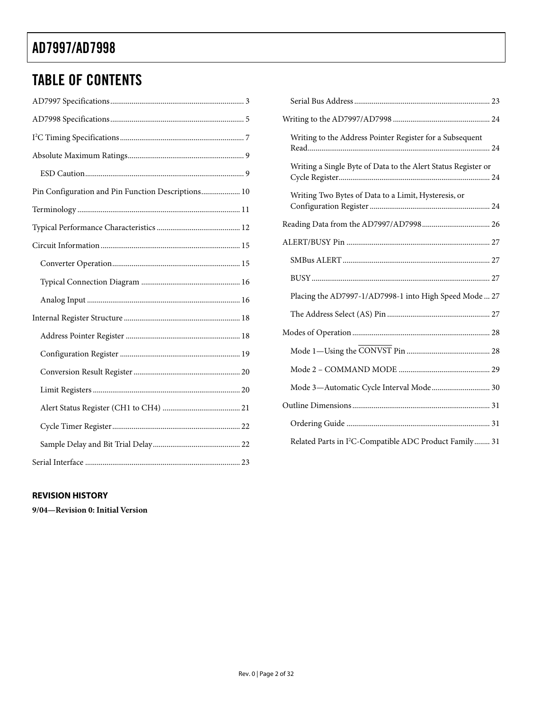### TABLE OF CONTENTS

| Pin Configuration and Pin Function Descriptions 10 |  |
|----------------------------------------------------|--|
|                                                    |  |
|                                                    |  |
|                                                    |  |
|                                                    |  |
|                                                    |  |
|                                                    |  |
|                                                    |  |
|                                                    |  |
|                                                    |  |
|                                                    |  |
|                                                    |  |
|                                                    |  |
|                                                    |  |
|                                                    |  |
|                                                    |  |
|                                                    |  |

| Writing to the Address Pointer Register for a Subsequent           |
|--------------------------------------------------------------------|
| Writing a Single Byte of Data to the Alert Status Register or      |
| Writing Two Bytes of Data to a Limit, Hysteresis, or               |
|                                                                    |
|                                                                    |
|                                                                    |
|                                                                    |
| Placing the AD7997-1/AD7998-1 into High Speed Mode  27             |
|                                                                    |
|                                                                    |
|                                                                    |
|                                                                    |
| Mode 3-Automatic Cycle Interval Mode 30                            |
|                                                                    |
|                                                                    |
|                                                                    |
| Related Parts in I <sup>2</sup> C-Compatible ADC Product Family 31 |

#### **REVISION HISTORY**

**9/04—Revision 0: Initial Version**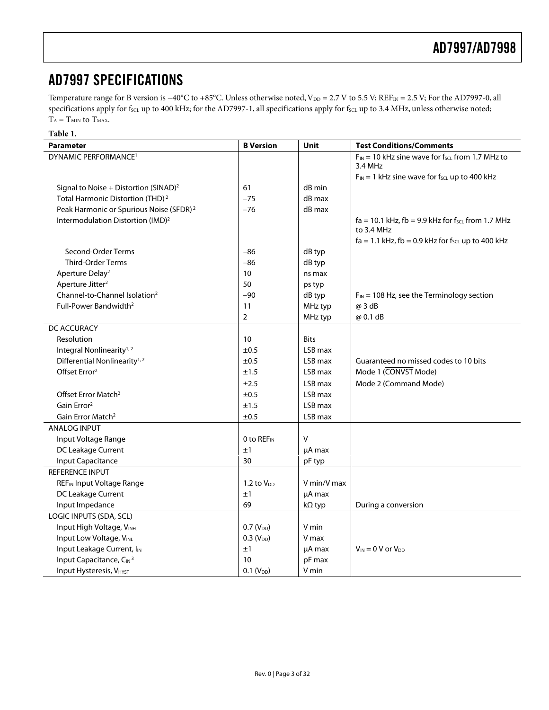### <span id="page-2-0"></span>AD7997 SPECIFICATIONS

Temperature range for B version is −40°C to +85°C. Unless otherwise noted, V<sub>DD</sub> = 2.7 V to 5.5 V; REF<sub>IN</sub> = 2.5 V; For the AD7997-0, all specifications apply for fscL up to 400 kHz; for the AD7997-1, all specifications apply for fscL up to 3.4 MHz, unless otherwise noted;  $T_A = T_{MIN}$  to  $T_{MAX}$ . **Table 1.** 

<span id="page-2-1"></span>

| rabie r.                                            |                        |             |                                                            |
|-----------------------------------------------------|------------------------|-------------|------------------------------------------------------------|
| <b>Parameter</b>                                    | <b>B</b> Version       | Unit        | <b>Test Conditions/Comments</b>                            |
| DYNAMIC PERFORMANCE <sup>1</sup>                    |                        |             | $F_{IN}$ = 10 kHz sine wave for $f_{SCL}$ from 1.7 MHz to  |
|                                                     |                        |             | 3.4 MHz                                                    |
|                                                     |                        |             | $F_{IN}$ = 1 kHz sine wave for $f_{SCL}$ up to 400 kHz     |
| Signal to Noise + Distortion (SINAD) <sup>2</sup>   | 61                     | dB min      |                                                            |
| Total Harmonic Distortion (THD) <sup>2</sup>        | $-75$                  | dB max      |                                                            |
| Peak Harmonic or Spurious Noise (SFDR) <sup>2</sup> | $-76$                  | dB max      |                                                            |
| Intermodulation Distortion (IMD) <sup>2</sup>       |                        |             | $fa = 10.1$ kHz, $fb = 9.9$ kHz for $f_{SCL}$ from 1.7 MHz |
|                                                     |                        |             | to 3.4 MHz                                                 |
|                                                     |                        |             | $fa = 1.1$ kHz, $fb = 0.9$ kHz for $f_{SCL}$ up to 400 kHz |
| Second-Order Terms                                  | $-86$                  | dB typ      |                                                            |
| <b>Third-Order Terms</b>                            | $-86$                  | dB typ      |                                                            |
| Aperture Delay <sup>2</sup>                         | 10                     | ns max      |                                                            |
| Aperture Jitter <sup>2</sup>                        | 50                     | ps typ      |                                                            |
| Channel-to-Channel Isolation <sup>2</sup>           | $-90$                  | dB typ      | $F_{IN}$ = 108 Hz, see the Terminology section             |
| Full-Power Bandwidth <sup>2</sup>                   | 11                     | MHz typ     | @ 3 dB                                                     |
|                                                     | $\overline{2}$         | MHz typ     | @ 0.1 dB                                                   |
| DC ACCURACY                                         |                        |             |                                                            |
| Resolution                                          | 10                     | <b>Bits</b> |                                                            |
| Integral Nonlinearity <sup>1,2</sup>                | ±0.5                   | LSB max     |                                                            |
| Differential Nonlinearity <sup>1,2</sup>            | ±0.5                   | LSB max     | Guaranteed no missed codes to 10 bits                      |
| Offset Error <sup>2</sup>                           | ±1.5                   | LSB max     | Mode 1 (CONVST Mode)                                       |
|                                                     | ±2.5                   | LSB max     | Mode 2 (Command Mode)                                      |
| Offset Error Match <sup>2</sup>                     | ±0.5                   | LSB max     |                                                            |
| Gain Error <sup>2</sup>                             | ±1.5                   | LSB max     |                                                            |
| Gain Error Match <sup>2</sup>                       | ±0.5                   | LSB max     |                                                            |
| <b>ANALOG INPUT</b>                                 |                        |             |                                                            |
| Input Voltage Range                                 | 0 to REF <sub>IN</sub> | V           |                                                            |
| DC Leakage Current                                  | ±1                     | $\mu$ A max |                                                            |
| <b>Input Capacitance</b>                            | 30                     | pF typ      |                                                            |
| <b>REFERENCE INPUT</b>                              |                        |             |                                                            |
| <b>REF<sub>IN</sub></b> Input Voltage Range         | 1.2 to $V_{DD}$        | V min/V max |                                                            |
| DC Leakage Current                                  | ±1                     | µA max      |                                                            |
| Input Impedance                                     | 69                     | kΩ typ      | During a conversion                                        |
| LOGIC INPUTS (SDA, SCL)                             |                        |             |                                                            |
| Input High Voltage, VINH                            | $0.7 (V_{DD})$         | V min       |                                                            |
| Input Low Voltage, VINL                             | $0.3 (V_{DD})$         | V max       |                                                            |
| Input Leakage Current, I <sub>IN</sub>              | ±1                     | µA max      | $V_{IN} = 0$ V or $V_{DD}$                                 |
| Input Capacitance, CIN <sup>3</sup>                 | 10                     | pF max      |                                                            |
| <b>Input Hysteresis, VHYST</b>                      | $0.1 (V_{DD})$         | V min       |                                                            |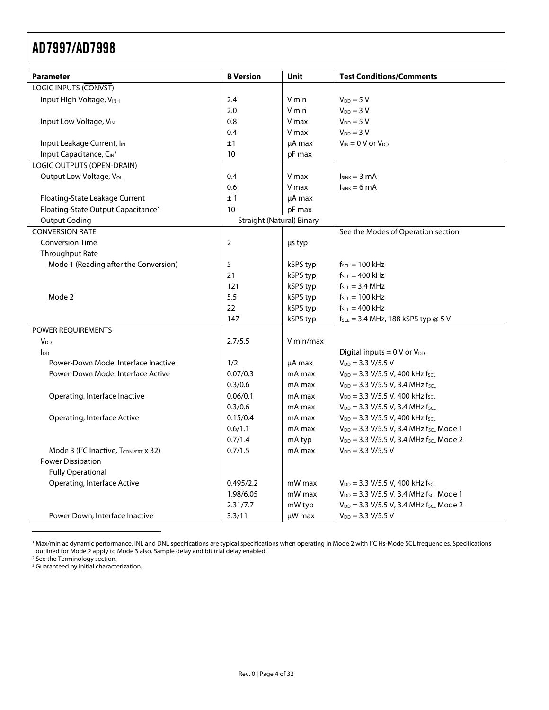| <b>Parameter</b>                               | <b>B</b> Version                 | Unit      | <b>Test Conditions/Comments</b>                                          |
|------------------------------------------------|----------------------------------|-----------|--------------------------------------------------------------------------|
| LOGIC INPUTS (CONVST)                          |                                  |           |                                                                          |
| Input High Voltage, VINH                       | 2.4                              | V min     | $V_{DD} = 5 V$                                                           |
|                                                | 2.0                              | V min     | $V_{DD} = 3 V$                                                           |
| Input Low Voltage, VINL                        | 0.8                              | V max     | $V_{DD} = 5 V$                                                           |
|                                                | 0.4                              | V max     | $V_{DD} = 3 V$                                                           |
| Input Leakage Current, I <sub>IN</sub>         | ±1                               | µA max    | $V_{IN} = 0 V$ or $V_{DD}$                                               |
| Input Capacitance, CIN <sup>3</sup>            | 10                               | pF max    |                                                                          |
| LOGIC OUTPUTS (OPEN-DRAIN)                     |                                  |           |                                                                          |
| Output Low Voltage, V <sub>OL</sub>            | 0.4                              | V max     | $I_{SINK} = 3 mA$                                                        |
|                                                | 0.6                              | V max     | $I_{SINK} = 6 mA$                                                        |
| Floating-State Leakage Current                 | ±1                               | µA max    |                                                                          |
| Floating-State Output Capacitance <sup>3</sup> | 10                               | pF max    |                                                                          |
| <b>Output Coding</b>                           | <b>Straight (Natural) Binary</b> |           |                                                                          |
| <b>CONVERSION RATE</b>                         |                                  |           | See the Modes of Operation section                                       |
| <b>Conversion Time</b>                         | $\overline{2}$                   | us typ    |                                                                          |
| Throughput Rate                                |                                  |           |                                                                          |
| Mode 1 (Reading after the Conversion)          | 5                                | kSPS typ  | $f_{\text{SCL}} = 100 \text{ kHz}$                                       |
|                                                | 21                               | kSPS typ  | $f_{SCL} = 400$ kHz                                                      |
|                                                | 121                              | kSPS typ  | $f_{SCL} = 3.4 \text{ MHz}$                                              |
| Mode 2                                         | 5.5                              | kSPS typ  | $f_{SCL} = 100$ kHz                                                      |
|                                                | 22                               | kSPS typ  | $f_{\text{SCL}} = 400 \text{ kHz}$                                       |
|                                                | 147                              | kSPS typ  | $f_{\text{SCL}} = 3.4 \text{ MHz}$ , 188 kSPS typ @ 5 V                  |
| POWER REQUIREMENTS                             |                                  |           |                                                                          |
| <b>V<sub>DD</sub></b>                          | 2.7/5.5                          | V min/max |                                                                          |
| $I_{DD}$                                       |                                  |           | Digital inputs = $0$ V or $V_{DD}$                                       |
| Power-Down Mode, Interface Inactive            | 1/2                              | µA max    | $V_{DD} = 3.3 V/5.5 V$                                                   |
| Power-Down Mode, Interface Active              | 0.07/0.3                         | mA max    | $V_{DD} = 3.3 V/5.5 V$ , 400 kHz fscL                                    |
|                                                | 0.3/0.6                          | mA max    | $V_{DD} = 3.3 \text{ V}/5.5 \text{ V}$ , 3.4 MHz fscl.                   |
| Operating, Interface Inactive                  | 0.06/0.1                         | mA max    | $V_{DD} = 3.3 \text{ V}/5.5 \text{ V}$ , 400 kHz fscL                    |
|                                                | 0.3/0.6                          | mA max    | $V_{DD} = 3.3 \text{ V}/5.5 \text{ V}$ , 3.4 MHz fscl                    |
| Operating, Interface Active                    | 0.15/0.4                         | mA max    | $V_{DD} = 3.3 \text{ V}/5.5 \text{ V}$ , 400 kHz fscl.                   |
|                                                | 0.6/1.1                          | mA max    | V <sub>DD</sub> = 3.3 V/5.5 V, 3.4 MHz f <sub>SCL</sub> Mode 1           |
|                                                | 0.7/1.4                          | mA typ    | $V_{DD} = 3.3 \text{ V}/5.5 \text{ V}$ , 3.4 MHz fscL Mode 2             |
| Mode 3 ( $I^2C$ Inactive, $T_{CONVERT}$ x 32)  | 0.7/1.5                          | mA max    | $V_{DD} = 3.3 V/5.5 V$                                                   |
| <b>Power Dissipation</b>                       |                                  |           |                                                                          |
| <b>Fully Operational</b>                       |                                  |           |                                                                          |
| Operating, Interface Active                    | 0.495/2.2                        | mW max    | $V_{DD}$ = 3.3 V/5.5 V, 400 kHz f <sub>scl</sub>                         |
|                                                | 1.98/6.05                        | mW max    | V <sub>DD</sub> = 3.3 V/5.5 V, 3.4 MHz f <sub>SCL</sub> Mode 1           |
|                                                | 2.31/7.7                         | mW typ    | $V_{DD} = 3.3 \text{ V}/5.5 \text{ V}$ , 3.4 MHz f <sub>SCL</sub> Mode 2 |
| Power Down, Interface Inactive                 | 3.3/11                           | µW max    | $V_{DD} = 3.3 V/5.5 V$                                                   |

<span id="page-3-0"></span>1 Max/min ac dynamic performance, INL and DNL specifications are typical specifications when operating in Mode 2 with I2 C Hs-Mode SCL frequencies. Specifications outlined for Mode 2 apply to Mode 3 also. Sample delay and bit trial delay enabled.<br><sup>2</sup> See the Terminology section.<br><sup>3</sup> Guaranteed by initial characterization.

<span id="page-3-1"></span>

 $\overline{a}$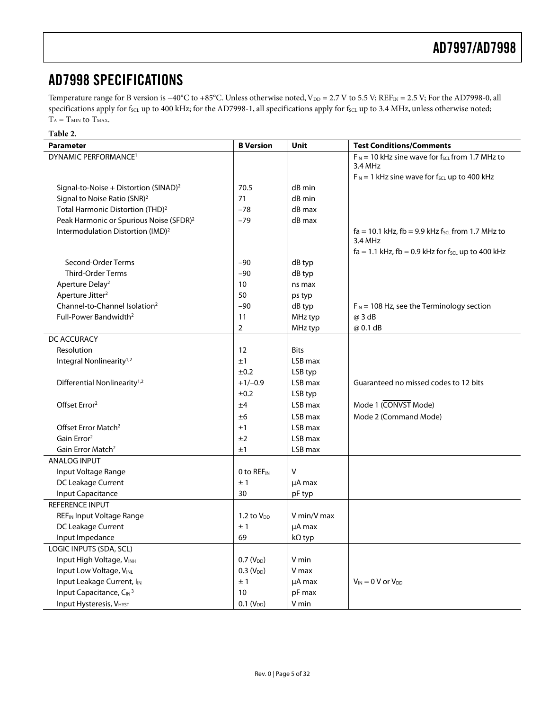### <span id="page-4-0"></span>AD7998 SPECIFICATIONS

Temperature range for B version is −40°C to +85°C. Unless otherwise noted, V<sub>DD</sub> = 2.7 V to 5.5 V; REF<sub>IN</sub> = 2.5 V; For the AD7998-0, all specifications apply for fscL up to 400 kHz; for the AD7998-1, all specifications apply for fscL up to 3.4 MHz, unless otherwise noted;  $T_{\rm A}=T_{\rm MIN}$  to  $T_{\rm MAX}.$ **Table 2.** 

<span id="page-4-2"></span><span id="page-4-1"></span>

| <b>B</b> Version       | Unit                                                                                        | <b>Test Conditions/Comments</b>                                                                        |
|------------------------|---------------------------------------------------------------------------------------------|--------------------------------------------------------------------------------------------------------|
|                        |                                                                                             | $F_{IN}$ = 10 kHz sine wave for f <sub>SCL</sub> from 1.7 MHz to                                       |
|                        |                                                                                             | 3.4 MHz                                                                                                |
|                        |                                                                                             | $F_{IN}$ = 1 kHz sine wave for $f_{SCL}$ up to 400 kHz                                                 |
|                        |                                                                                             |                                                                                                        |
|                        |                                                                                             |                                                                                                        |
|                        |                                                                                             |                                                                                                        |
|                        |                                                                                             |                                                                                                        |
|                        |                                                                                             | $fa = 10.1$ kHz, $fb = 9.9$ kHz $f_{SCL}$ from 1.7 MHz to<br>3.4 MHz                                   |
|                        |                                                                                             | $fa = 1.1$ kHz, $fb = 0.9$ kHz for $f_{SCL}$ up to 400 kHz                                             |
| $-90$                  | dB typ                                                                                      |                                                                                                        |
| $-90$                  | dB typ                                                                                      |                                                                                                        |
| 10                     | ns max                                                                                      |                                                                                                        |
| 50                     | ps typ                                                                                      |                                                                                                        |
| $-90$                  | dB typ                                                                                      | $F_{IN}$ = 108 Hz, see the Terminology section                                                         |
| 11                     | MHz typ                                                                                     | @ 3 dB                                                                                                 |
| 2                      | MHz typ                                                                                     | @ 0.1 dB                                                                                               |
|                        |                                                                                             |                                                                                                        |
| 12                     | <b>Bits</b>                                                                                 |                                                                                                        |
| ±1                     | LSB max                                                                                     |                                                                                                        |
| ±0.2                   | LSB typ                                                                                     |                                                                                                        |
| $+1/-0.9$              | LSB max                                                                                     | Guaranteed no missed codes to 12 bits                                                                  |
| ±0.2                   | LSB typ                                                                                     |                                                                                                        |
| ±4                     | LSB max                                                                                     | Mode 1 (CONVST Mode)                                                                                   |
| ±6                     | LSB max                                                                                     | Mode 2 (Command Mode)                                                                                  |
| ±1                     | LSB max                                                                                     |                                                                                                        |
| ±2                     | LSB max                                                                                     |                                                                                                        |
| ±1                     | LSB max                                                                                     |                                                                                                        |
|                        |                                                                                             |                                                                                                        |
| 0 to REF <sub>IN</sub> | v                                                                                           |                                                                                                        |
| ±1                     | µA max                                                                                      |                                                                                                        |
| 30                     |                                                                                             |                                                                                                        |
|                        |                                                                                             |                                                                                                        |
| 1.2 to $V_{DD}$        | V min/V max                                                                                 |                                                                                                        |
| ±1                     |                                                                                             |                                                                                                        |
| 69                     |                                                                                             |                                                                                                        |
|                        |                                                                                             |                                                                                                        |
|                        |                                                                                             |                                                                                                        |
|                        | V max                                                                                       |                                                                                                        |
| ±1                     |                                                                                             | $V_{IN} = 0$ V or $V_{DD}$                                                                             |
| 10                     |                                                                                             |                                                                                                        |
|                        | V min                                                                                       |                                                                                                        |
|                        | 70.5<br>71<br>$-78$<br>$-79$<br>$0.7(V_{DD})$<br>$0.3 (V_{DD})$<br>$0.1$ (V <sub>DD</sub> ) | dB min<br>dB min<br>dB max<br>dB max<br>pF typ<br>µA max<br>$k\Omega$ typ<br>V min<br>µA max<br>pF max |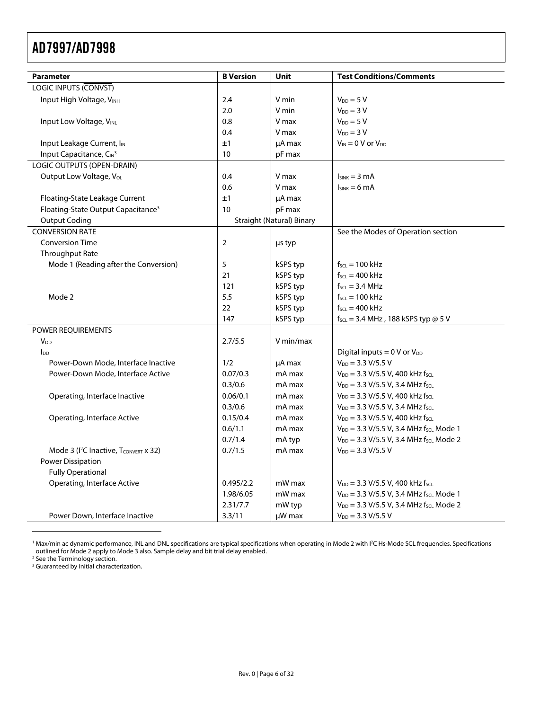| <b>Parameter</b>                               | <b>B</b> Version | Unit                             | <b>Test Conditions/Comments</b>                                   |
|------------------------------------------------|------------------|----------------------------------|-------------------------------------------------------------------|
| <b>LOGIC INPUTS (CONVST)</b>                   |                  |                                  |                                                                   |
| Input High Voltage, VINH                       | 2.4              | V min                            | $V_{DD} = 5 V$                                                    |
|                                                | 2.0              | V min                            | $V_{DD} = 3 V$                                                    |
| <b>Input Low Voltage, VINL</b>                 | 0.8              | V max                            | $V_{DD} = 5 V$                                                    |
|                                                | 0.4              | V max                            | $V_{DD} = 3 V$                                                    |
| Input Leakage Current, I <sub>IN</sub>         | ±1               | µA max                           | $V_{IN} = 0$ V or $V_{DD}$                                        |
| Input Capacitance, C <sub>IN3</sub>            | 10               | pF max                           |                                                                   |
| LOGIC OUTPUTS (OPEN-DRAIN)                     |                  |                                  |                                                                   |
| Output Low Voltage, V <sub>ol</sub>            | 0.4              | V max                            | $I_{SINK} = 3 mA$                                                 |
|                                                | 0.6              | V max                            | $lsink = 6 mA$                                                    |
| Floating-State Leakage Current                 | ±1               | µA max                           |                                                                   |
| Floating-State Output Capacitance <sup>3</sup> | 10               | pF max                           |                                                                   |
| <b>Output Coding</b>                           |                  | <b>Straight (Natural) Binary</b> |                                                                   |
| <b>CONVERSION RATE</b>                         |                  |                                  | See the Modes of Operation section                                |
| <b>Conversion Time</b>                         | $\overline{2}$   | µs typ                           |                                                                   |
| Throughput Rate                                |                  |                                  |                                                                   |
| Mode 1 (Reading after the Conversion)          | 5                | kSPS typ                         | $f_{\text{SCL}} = 100 \text{ kHz}$                                |
|                                                | 21               | kSPS typ                         | $f_{\text{SCL}} = 400 \text{ kHz}$                                |
|                                                | 121              | kSPS typ                         | $f_{\text{SCL}} = 3.4 \text{ MHz}$                                |
| Mode 2                                         | 5.5              | kSPS typ                         | $f_{\text{SCL}} = 100 \text{ kHz}$                                |
|                                                | 22               | kSPS typ                         | $f_{SCL} = 400$ kHz                                               |
|                                                | 147              | kSPS typ                         | $f_{\text{SCL}} = 3.4 \text{ MHz}$ , 188 kSPS typ @ 5 V           |
| POWER REQUIREMENTS                             |                  |                                  |                                                                   |
| V <sub>DD</sub>                                | 2.7/5.5          | V min/max                        |                                                                   |
| $I_{DD}$                                       |                  |                                  | Digital inputs = $0 \text{ V or } V_{DD}$                         |
| Power-Down Mode, Interface Inactive            | 1/2              | µA max                           | $V_{DD} = 3.3 V/5.5 V$                                            |
| Power-Down Mode, Interface Active              | 0.07/0.3         | mA max                           | $V_{DD}$ = 3.3 V/5.5 V, 400 kHz fscL                              |
|                                                | 0.3/0.6          | mA max                           | $V_{DD} = 3.3 \text{ V}/5.5 \text{ V}$ , 3.4 MHz f <sub>scl</sub> |
| Operating, Interface Inactive                  | 0.06/0.1         | mA max                           | $V_{DD} = 3.3 \text{ V}/5.5 \text{ V}$ , 400 kHz fscL             |
|                                                | 0.3/0.6          | mA max                           | $V_{DD} = 3.3 \text{ V}/5.5 \text{ V}$ , 3.4 MHz f <sub>scl</sub> |
| Operating, Interface Active                    | 0.15/0.4         | mA max                           | $V_{DD}$ = 3.3 V/5.5 V, 400 kHz fscL                              |
|                                                | 0.6/1.1          | mA max                           | V <sub>DD</sub> = 3.3 V/5.5 V, 3.4 MHz f <sub>SCL</sub> Mode 1    |
|                                                | 0.7/1.4          | mA typ                           | V <sub>DD</sub> = 3.3 V/5.5 V, 3.4 MHz f <sub>SCL</sub> Mode 2    |
| Mode 3 ( $I^2C$ Inactive, $T_{CONVERT}$ x 32)  | 0.7/1.5          | mA max                           | $V_{DD} = 3.3 V/5.5 V$                                            |
| <b>Power Dissipation</b>                       |                  |                                  |                                                                   |
| <b>Fully Operational</b>                       |                  |                                  |                                                                   |
| Operating, Interface Active                    | 0.495/2.2        | mW max                           | $V_{DD}$ = 3.3 V/5.5 V, 400 kHz f <sub>scl</sub>                  |
|                                                | 1.98/6.05        | mW max                           | $V_{DD}$ = 3.3 V/5.5 V, 3.4 MHz f <sub>SCL</sub> Mode 1           |
|                                                | 2.31/7.7         | mW typ                           | $V_{DD}$ = 3.3 V/5.5 V, 3.4 MHz f <sub>SCL</sub> Mode 2           |
| Power Down, Interface Inactive                 | 3.3/11           | µW max                           | $V_{DD} = 3.3 V/5.5 V$                                            |

<span id="page-5-1"></span>1 Max/min ac dynamic performance, INL and DNL specifications are typical specifications when operating in Mode 2 with I2 C Hs-Mode SCL frequencies. Specifications outlined for Mode 2 apply to Mode 3 also. Sample delay and bit trial delay enabled.<br><sup>2</sup> See the Terminology section.<br><sup>3</sup> Guaranteed by initial characterization.

<span id="page-5-2"></span>

 $\overline{a}$ 

<span id="page-5-0"></span>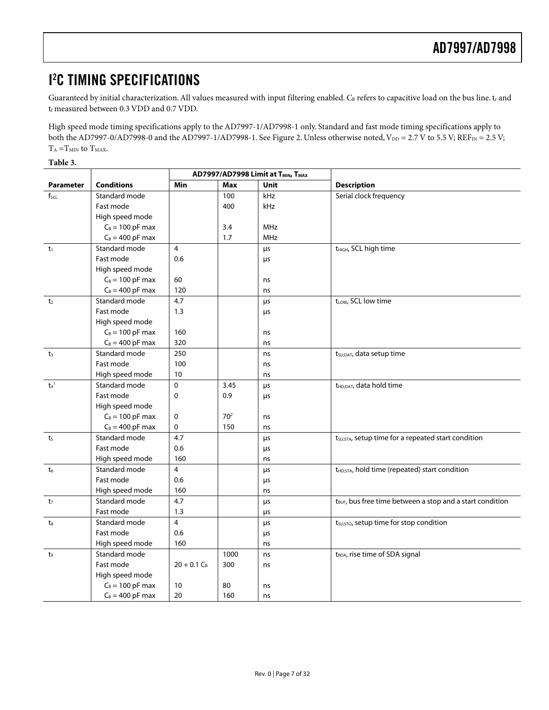### <span id="page-6-0"></span>I 2 C TIMING SPECIFICATIONS

Guaranteed by initial characterization. All values measured with input filtering enabled. C<sub>B</sub> refers to capacitive load on the bus line. tr and  $\mathfrak{t}_{\mathrm{f}}$  measured between 0.3 VDD and 0.7 VDD.

High speed mode timing specifications apply to the AD7997-1/AD7998-1 only. Standard and fast mode timing specifications apply to both the AD7997-0/AD7998-0 and the AD7997-1/AD7998-1. See [Figure 2.](#page-7-1) Unless otherwise noted, V<sub>DD</sub> = 2.7 V to 5.5 V; REF<sub>IN</sub> = 2.5 V;  $T_{\rm A}\! =\! T_{\rm MIN}$  to  $T_{\rm MAX}.$ 

**Table 3.** 

|                             |                    | AD7997/AD7998 Limit at TMIN, TMAX |                 |            |                                                                       |  |  |
|-----------------------------|--------------------|-----------------------------------|-----------------|------------|-----------------------------------------------------------------------|--|--|
| <b>Parameter</b>            | <b>Conditions</b>  | Min                               | <b>Max</b>      | Unit       | <b>Description</b>                                                    |  |  |
| $f_{\text{SCL}}$            | Standard mode      |                                   | 100             | kHz        | Serial clock frequency                                                |  |  |
|                             | Fast mode          |                                   | 400             | kHz        |                                                                       |  |  |
|                             | High speed mode    |                                   |                 |            |                                                                       |  |  |
|                             | $C_B = 100$ pF max |                                   | 3.4             | <b>MHz</b> |                                                                       |  |  |
|                             | $C_B = 400$ pF max |                                   | 1.7             | <b>MHz</b> |                                                                       |  |  |
| $t_1$                       | Standard mode      | $\overline{4}$                    |                 | μs         | t <sub>HIGH</sub> , SCL high time                                     |  |  |
|                             | Fast mode          | 0.6                               |                 | μs         |                                                                       |  |  |
|                             | High speed mode    |                                   |                 |            |                                                                       |  |  |
|                             | $C_B = 100$ pF max | 60                                |                 | ns         |                                                                       |  |  |
|                             | $C_B = 400$ pF max | 120                               |                 | ns         |                                                                       |  |  |
| t <sub>2</sub>              | Standard mode      | 4.7                               |                 | μs         | t <sub>LOW</sub> , SCL low time                                       |  |  |
|                             | Fast mode          | 1.3                               |                 | μs         |                                                                       |  |  |
|                             | High speed mode    |                                   |                 |            |                                                                       |  |  |
|                             | $C_B = 100$ pF max | 160                               |                 | ns         |                                                                       |  |  |
|                             | $C_B = 400$ pF max | 320                               |                 | ns         |                                                                       |  |  |
| $t_3$                       | Standard mode      | 250                               |                 | ns         | t <sub>SU;DAT</sub> , data setup time                                 |  |  |
|                             | Fast mode          | 100                               |                 | ns         |                                                                       |  |  |
|                             | High speed mode    | 10                                |                 | ns         |                                                                       |  |  |
| t <sub>4</sub> <sup>1</sup> | Standard mode      | $\mathbf 0$                       | 3.45            | μs         | t <sub>HD;DAT</sub> , data hold time                                  |  |  |
|                             | Fast mode          | 0                                 | 0.9             | μs         |                                                                       |  |  |
|                             | High speed mode    |                                   |                 |            |                                                                       |  |  |
|                             | $C_B = 100$ pF max | 0                                 | 70 <sup>2</sup> | ns         |                                                                       |  |  |
|                             | $C_B = 400$ pF max | 0                                 | 150             | ns         |                                                                       |  |  |
| t <sub>5</sub>              | Standard mode      | 4.7                               |                 | μs         | t <sub>SU;STA</sub> , setup time for a repeated start condition       |  |  |
|                             | Fast mode          | 0.6                               |                 | μs         |                                                                       |  |  |
|                             | High speed mode    | 160                               |                 | ns         |                                                                       |  |  |
| t <sub>6</sub>              | Standard mode      | $\overline{4}$                    |                 | μs         | t <sub>HD;STA</sub> , hold time (repeated) start condition            |  |  |
|                             | Fast mode          | 0.6                               |                 | μs         |                                                                       |  |  |
|                             | High speed mode    | 160                               |                 | ns         |                                                                       |  |  |
| t <sub>7</sub>              | Standard mode      | 4.7                               |                 | μs         | t <sub>BUF</sub> , bus free time between a stop and a start condition |  |  |
|                             | Fast mode          | 1.3                               |                 | μs         |                                                                       |  |  |
| t.                          | Standard mode      | $\overline{4}$                    |                 | μs         | t <sub>su;STO</sub> , setup time for stop condition                   |  |  |
|                             | Fast mode          | 0.6                               |                 | μs         |                                                                       |  |  |
|                             | High speed mode    | 160                               |                 | ns         |                                                                       |  |  |
| t9                          | Standard mode      |                                   | 1000            | ns         | t <sub>RDA</sub> , rise time of SDA signal                            |  |  |
|                             | Fast mode          | $20 + 0.1 C_B$                    | 300             | ns         |                                                                       |  |  |
|                             | High speed mode    |                                   |                 |            |                                                                       |  |  |
|                             | $C_B = 100$ pF max | 10                                | 80              | ns         |                                                                       |  |  |
|                             | $C_B = 400$ pF max | 20                                | 160             | ns         |                                                                       |  |  |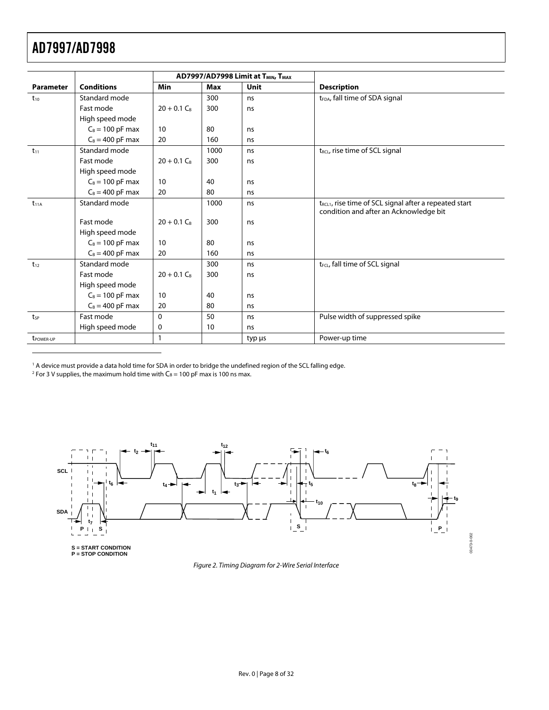$\overline{a}$ 

|                       |                    |                |      | AD7997/AD7998 Limit at T <sub>MIN</sub> , T <sub>MAX</sub> |                                                                    |
|-----------------------|--------------------|----------------|------|------------------------------------------------------------|--------------------------------------------------------------------|
| <b>Parameter</b>      | <b>Conditions</b>  | <b>Min</b>     | Max  | Unit                                                       | <b>Description</b>                                                 |
| $t_{10}$              | Standard mode      |                | 300  | ns                                                         | t <sub>FDA</sub> , fall time of SDA signal                         |
|                       | Fast mode          | $20 + 0.1 C_B$ | 300  | ns                                                         |                                                                    |
|                       | High speed mode    |                |      |                                                            |                                                                    |
|                       | $C_B = 100$ pF max | 10             | 80   | ns                                                         |                                                                    |
|                       | $C_B = 400$ pF max | 20             | 160  | ns                                                         |                                                                    |
| $t_{11}$              | Standard mode      |                | 1000 | ns                                                         | t <sub>RCL</sub> , rise time of SCL signal                         |
|                       | Fast mode          | $20 + 0.1 C_B$ | 300  | ns                                                         |                                                                    |
|                       | High speed mode    |                |      |                                                            |                                                                    |
|                       | $C_B = 100$ pF max | 10             | 40   | ns                                                         |                                                                    |
|                       | $C_B = 400$ pF max | 20             | 80   | ns                                                         |                                                                    |
| $t_{11A}$             | Standard mode      |                | 1000 | ns                                                         | t <sub>RCL1</sub> , rise time of SCL signal after a repeated start |
|                       |                    |                |      |                                                            | condition and after an Acknowledge bit                             |
|                       | Fast mode          | $20 + 0.1 C_B$ | 300  | ns                                                         |                                                                    |
|                       | High speed mode    |                |      |                                                            |                                                                    |
|                       | $C_B = 100$ pF max | 10             | 80   | ns                                                         |                                                                    |
|                       | $C_B = 400$ pF max | 20             | 160  | ns                                                         |                                                                    |
| $t_{12}$              | Standard mode      |                | 300  | ns                                                         | t <sub>FCL</sub> , fall time of SCL signal                         |
|                       | Fast mode          | $20 + 0.1 C_R$ | 300  | ns                                                         |                                                                    |
|                       | High speed mode    |                |      |                                                            |                                                                    |
|                       | $C_B = 100$ pF max | 10             | 40   | ns                                                         |                                                                    |
|                       | $C_B = 400$ pF max | 20             | 80   | ns                                                         |                                                                    |
| tsp                   | Fast mode          | $\mathbf{0}$   | 50   | ns                                                         | Pulse width of suppressed spike                                    |
|                       | High speed mode    | $\mathbf 0$    | 10   | ns                                                         |                                                                    |
| t <sub>power-up</sub> |                    | $\mathbf{1}$   |      | typ µs                                                     | Power-up time                                                      |

<span id="page-7-2"></span><sup>1</sup> A device must provide a data hold time for SDA in order to bridge the undefined region of the SCL falling edge.<br><sup>2</sup> Eor 3 V supplies the maximum hold time with C<sub>0</sub> – 100 pE max is 100 ps max

<sup>2</sup> For 3 V supplies, the maximum hold time with  $C_B = 100$  pF max is 100 ns max.

<span id="page-7-0"></span>

<span id="page-7-1"></span>Figure 2. Timing Diagram for 2-Wire Serial Interface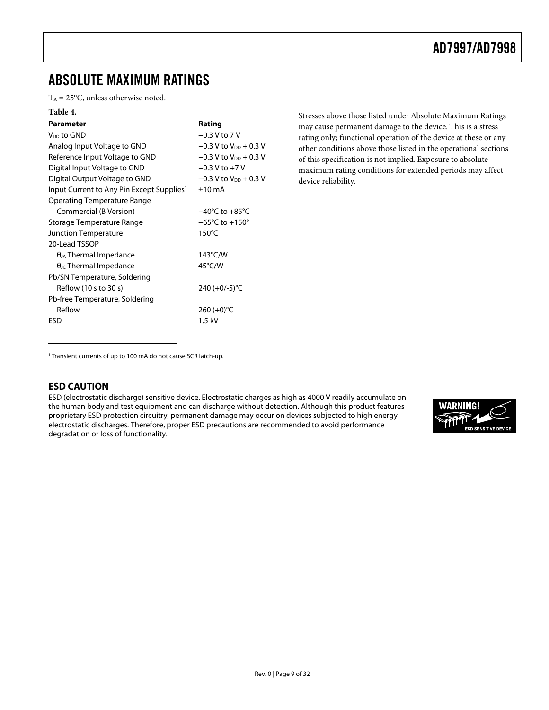### <span id="page-8-0"></span>ABSOLUTE MAXIMUM RATINGS

 $T_A = 25$ °C, unless otherwise noted.

#### **Table 4.**

| <b>Parameter</b>                                      | Rating                              |
|-------------------------------------------------------|-------------------------------------|
| V <sub>DD</sub> to GND                                | $-0.3$ V to 7 V                     |
| Analog Input Voltage to GND                           | $-0.3$ V to V <sub>DD</sub> + 0.3 V |
| Reference Input Voltage to GND                        | $-0.3$ V to V <sub>DD</sub> + 0.3 V |
| Digital Input Voltage to GND                          | $-0.3$ V to $+7$ V                  |
| Digital Output Voltage to GND                         | $-0.3$ V to V <sub>DD</sub> + 0.3 V |
| Input Current to Any Pin Except Supplies <sup>1</sup> | $+10 \text{ mA}$                    |
| Operating Temperature Range                           |                                     |
| Commercial (B Version)                                | $-40^{\circ}$ C to $+85^{\circ}$ C  |
| Storage Temperature Range                             | $-65^{\circ}$ C to $+150^{\circ}$   |
| <b>Junction Temperature</b>                           | $150^{\circ}$ C                     |
| 20-Lead TSSOP                                         |                                     |
| $\theta_{JA}$ Thermal Impedance                       | 143°C/W                             |
| $\theta_{\text{JC}}$ Thermal Impedance                | 45°C/W                              |
| Pb/SN Temperature, Soldering                          |                                     |
| Reflow (10 s to 30 s)                                 | 240 (+0/-5)°C                       |
| Pb-free Temperature, Soldering                        |                                     |
| Reflow                                                | 260 $(+0)$ °C                       |
| <b>FSD</b>                                            | $1.5$ kV                            |

Stresses above those listed under Absolute Maximum Ratings may cause permanent damage to the device. This is a stress rating only; functional operation of the device at these or any other conditions above those listed in the operational sections of this specification is not implied. Exposure to absolute maximum rating conditions for extended periods may affect device reliability.

<span id="page-8-1"></span><sup>1</sup> Transient currents of up to 100 mA do not cause SCR latch-up.

#### **ESD CAUTION**

 $\overline{a}$ 

ESD (electrostatic discharge) sensitive device. Electrostatic charges as high as 4000 V readily accumulate on the human body and test equipment and can discharge without detection. Although this product features proprietary ESD protection circuitry, permanent damage may occur on devices subjected to high energy electrostatic discharges. Therefore, proper ESD precautions are recommended to avoid performance degradation or loss of functionality.

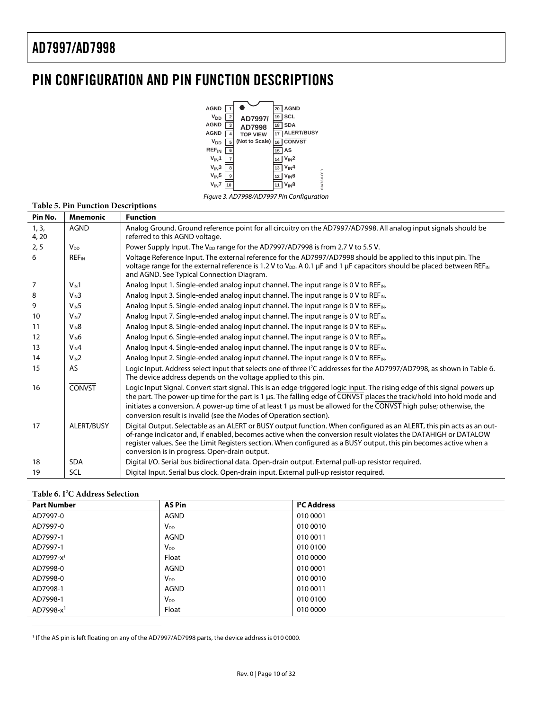### <span id="page-9-0"></span>PIN CONFIGURATION AND PIN FUNCTION DESCRIPTIONS



Figure 3. AD7998/AD7997 Pin Configuration

|                   | <b>Table 5. Pin Function Descriptions</b> |                                                                                                                                                                                                                                                                                                                                                                                                                                                |
|-------------------|-------------------------------------------|------------------------------------------------------------------------------------------------------------------------------------------------------------------------------------------------------------------------------------------------------------------------------------------------------------------------------------------------------------------------------------------------------------------------------------------------|
| Pin No.           | <b>Mnemonic</b>                           | <b>Function</b>                                                                                                                                                                                                                                                                                                                                                                                                                                |
| 1, 3,<br>4, 20    | <b>AGND</b>                               | Analog Ground. Ground reference point for all circuitry on the AD7997/AD7998. All analog input signals should be<br>referred to this AGND voltage.                                                                                                                                                                                                                                                                                             |
| 2, 5              | $V_{DD}$                                  | Power Supply Input. The V <sub>DD</sub> range for the AD7997/AD7998 is from 2.7 V to 5.5 V.                                                                                                                                                                                                                                                                                                                                                    |
| 6                 | <b>REF<sub>IN</sub></b>                   | Voltage Reference Input. The external reference for the AD7997/AD7998 should be applied to this input pin. The<br>voltage range for the external reference is 1.2 V to V <sub>DD</sub> . A 0.1 µF and 1 µF capacitors should be placed between REF <sub>IN</sub><br>and AGND. See Typical Connection Diagram.                                                                                                                                  |
| 7                 | $V_{\text{IN}}1$                          | Analog Input 1. Single-ended analog input channel. The input range is 0 V to REF <sub>IN</sub> .                                                                                                                                                                                                                                                                                                                                               |
| 8                 | $V_{IN}3$                                 | Analog Input 3. Single-ended analog input channel. The input range is 0 V to REFIN.                                                                                                                                                                                                                                                                                                                                                            |
| 9                 | $V_{\text{IN}}5$                          | Analog Input 5. Single-ended analog input channel. The input range is 0 V to REF <sub>IN</sub> .                                                                                                                                                                                                                                                                                                                                               |
| 10                | $V_{IN}$ 7                                | Analog Input 7. Single-ended analog input channel. The input range is 0 V to REF <sub>IN</sub> .                                                                                                                                                                                                                                                                                                                                               |
| 11                | $V_{IN}8$                                 | Analog Input 8. Single-ended analog input channel. The input range is 0 V to REF <sub>IN</sub> .                                                                                                                                                                                                                                                                                                                                               |
| $12 \overline{ }$ | $V_{IN}6$                                 | Analog Input 6. Single-ended analog input channel. The input range is 0 V to REF <sub>IN</sub> .                                                                                                                                                                                                                                                                                                                                               |
| 13                | $V_{\text{IN}}4$                          | Analog Input 4. Single-ended analog input channel. The input range is 0 V to REF <sub>IN</sub> .                                                                                                                                                                                                                                                                                                                                               |
| 14                | $V_{IN}$ 2                                | Analog Input 2. Single-ended analog input channel. The input range is 0 V to REF <sub>IN</sub> .                                                                                                                                                                                                                                                                                                                                               |
| 15                | AS.                                       | Logic Input. Address select input that selects one of three I <sup>2</sup> C addresses for the AD7997/AD7998, as shown in Table 6.<br>The device address depends on the voltage applied to this pin.                                                                                                                                                                                                                                           |
| 16                | <b>CONVST</b>                             | Logic Input Signal. Convert start signal. This is an edge-triggered logic input. The rising edge of this signal powers up<br>the part. The power-up time for the part is 1 µs. The falling edge of CONVST places the track/hold into hold mode and<br>initiates a conversion. A power-up time of at least 1 µs must be allowed for the CONVST high pulse; otherwise, the<br>conversion result is invalid (see the Modes of Operation section). |
| 17                | ALERT/BUSY                                | Digital Output. Selectable as an ALERT or BUSY output function. When configured as an ALERT, this pin acts as an out-<br>of-range indicator and, if enabled, becomes active when the conversion result violates the DATAHIGH or DATALOW<br>register values. See the Limit Registers section. When configured as a BUSY output, this pin becomes active when a<br>conversion is in progress. Open-drain output.                                 |
| 18                | <b>SDA</b>                                | Digital I/O. Serial bus bidirectional data. Open-drain output. External pull-up resistor required.                                                                                                                                                                                                                                                                                                                                             |
| 19                | <b>SCL</b>                                | Digital Input. Serial bus clock. Open-drain input. External pull-up resistor required.                                                                                                                                                                                                                                                                                                                                                         |

#### <span id="page-9-2"></span><span id="page-9-1"></span>**Table 6. I2 C Address Selection**

 $\overline{a}$ 

<span id="page-9-3"></span>

| <b>Part Number</b>      | <b>AS Pin</b>         | <sup>2</sup> C Address |
|-------------------------|-----------------------|------------------------|
| AD7997-0                | <b>AGND</b>           | 010 0001               |
| AD7997-0                | <b>V<sub>DD</sub></b> | 010 0010               |
| AD7997-1                | AGND                  | 010 0011               |
| AD7997-1                | $V_{DD}$              | 010 0100               |
| AD7997-x <sup>1</sup>   | Float                 | 010 0000               |
| AD7998-0                | AGND                  | 010 0001               |
| AD7998-0                | $V_{DD}$              | 010 0010               |
| AD7998-1                | <b>AGND</b>           | 010 0011               |
| AD7998-1                | $V_{DD}$              | 010 0100               |
| $AD7998-x$ <sup>1</sup> | Float                 | 010 0000               |

1 If the AS pin is left floating on any of the AD7997/AD7998 parts, the device address is 010 0000.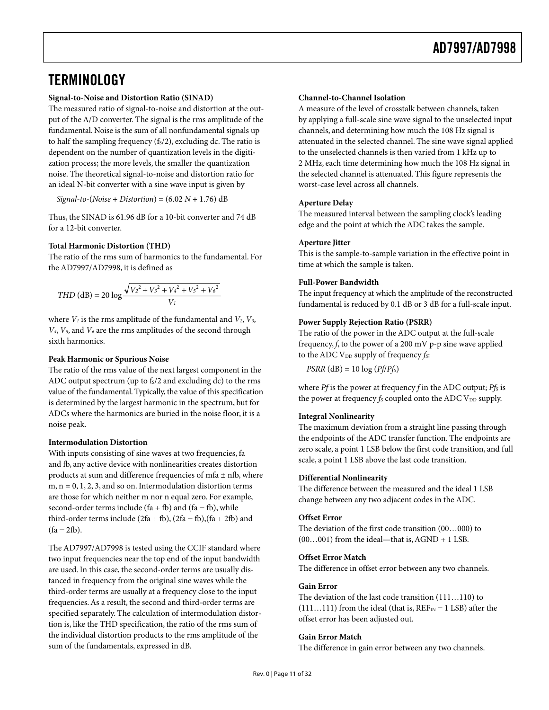### <span id="page-10-1"></span><span id="page-10-0"></span>**TERMINOLOGY**

#### **Signal-to-Noise and Distortion Ratio (SINAD)**

The measured ratio of signal-to-noise and distortion at the output of the A/D converter. The signal is the rms amplitude of the fundamental. Noise is the sum of all nonfundamental signals up to half the sampling frequency  $(f<sub>s</sub>/2)$ , excluding dc. The ratio is dependent on the number of quantization levels in the digitization process; the more levels, the smaller the quantization noise. The theoretical signal-to-noise and distortion ratio for an ideal N-bit converter with a sine wave input is given by

*Signal*-*to*-(*Noise* + *Distortion*) = (6.02 *N* + 1.76) dB

Thus, the SINAD is 61.96 dB for a 10-bit converter and 74 dB for a 12-bit converter.

#### **Total Harmonic Distortion (THD)**

The ratio of the rms sum of harmonics to the fundamental. For the AD7997/AD7998, it is defined as

$$
THD (dB) = 20 log \frac{\sqrt{V_2^2 + V_3^2 + V_4^2 + V_5^2 + V_6^2}}{V_1}
$$

where  $V_1$  is the rms amplitude of the fundamental and  $V_2$ ,  $V_3$ , *V4*, *V5*, and *V6* are the rms amplitudes of the second through sixth harmonics.

#### **Peak Harmonic or Spurious Noise**

The ratio of the rms value of the next largest component in the ADC output spectrum (up to  $f_s/2$  and excluding dc) to the rms value of the fundamental. Typically, the value of this specification is determined by the largest harmonic in the spectrum, but for ADCs where the harmonics are buried in the noise floor, it is a noise peak.

#### **Intermodulation Distortion**

With inputs consisting of sine waves at two frequencies, fa and fb, any active device with nonlinearities creates distortion products at sum and difference frequencies of mfa  $\pm$  nfb, where  $m, n = 0, 1, 2, 3,$  and so on. Intermodulation distortion terms are those for which neither m nor n equal zero. For example, second-order terms include (fa + fb) and (fa – fb), while third-order terms include  $(2fa + fb)$ ,  $(2fa - fb)$ ,  $(fa + 2fb)$  and  $(fa - 2fb)$ .

The AD7997/AD7998 is tested using the CCIF standard where two input frequencies near the top end of the input bandwidth are used. In this case, the second-order terms are usually distanced in frequency from the original sine waves while the third-order terms are usually at a frequency close to the input frequencies.As a result, the second and third-order terms are specified separately. The calculation of intermodulation distortion is, like the THD specification, the ratio of the rms sum of the individual distortion products to the rms amplitude of the sum of the fundamentals, expressed in dB.

#### **Channel-to-Channel Isolation**

A measure of the level of crosstalk between channels, taken by applying a full-scale sine wave signal to the unselected input channels, and determining how much the 108 Hz signal is attenuated in the selected channel. The sine wave signal applied to the unselected channels is then varied from 1 kHz up to 2 MHz, each time determining how much the 108 Hz signal in the selected channel is attenuated. This figure represents the worst-case level across all channels.

#### **Aperture Delay**

The measured interval between the sampling clock's leading edge and the point at which the ADC takes the sample.

#### **Aperture Jitter**

This is the sample-to-sample variation in the effective point in time at which the sample is taken.

#### **Full-Power Bandwidth**

The input frequency at which the amplitude of the reconstructed fundamental is reduced by 0.1 dB or 3 dB for a full-scale input.

#### **Power Supply Rejection Ratio (PSRR)**

The ratio of the power in the ADC output at the full-scale frequency, *f*, to the power of a 200 mV p-p sine wave applied to the ADC V<sub>DD</sub> supply of frequency *fs*:

 $PSRR$  (dB) = 10  $log(Pf/Pf<sub>S</sub>)$ 

where  $Pf$  is the power at frequency  $f$  in the ADC output;  $Pf_S$  is the power at frequency *fs* coupled onto the ADC V<sub>DD</sub> supply.

#### **Integral Nonlinearity**

The maximum deviation from a straight line passing through the endpoints of the ADC transfer function. The endpoints are zero scale, a point 1 LSB below the first code transition, and full scale, a point 1 LSB above the last code transition.

#### **Differential Nonlinearity**

The difference between the measured and the ideal 1 LSB change between any two adjacent codes in the ADC.

#### **Offset Error**

The deviation of the first code transition (00…000) to  $(00...001)$  from the ideal—that is, AGND + 1 LSB.

#### **Offset Error Match**

The difference in offset error between any two channels.

#### **Gain Error**

The deviation of the last code transition (111…110) to  $(111...111)$  from the ideal (that is,  $REF_{IN}-1$  LSB) after the offset error has been adjusted out.

#### **Gain Error Match**

The difference in gain error between any two channels.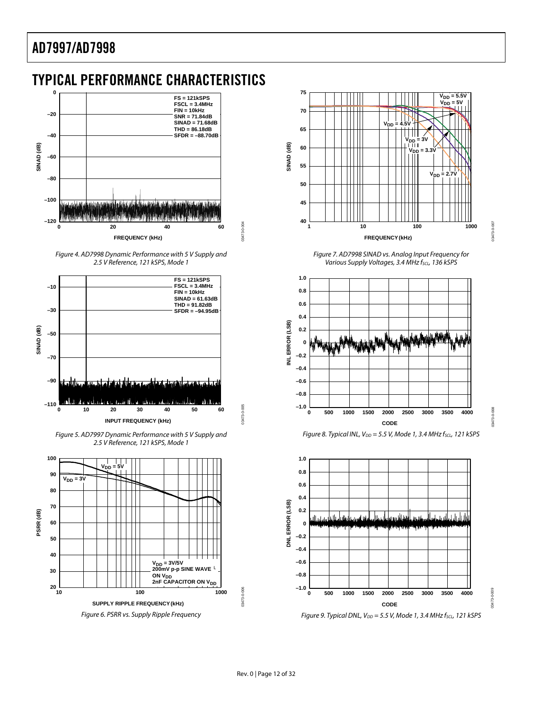### <span id="page-11-0"></span>TYPICAL PERFORMANCE CHARACTERISTICS





03473-0-004

03473-0-004

03473-0-005

13473-0-005



Figure 5. AD7997 Dynamic Performance with 5 V Supply and 2.5 V Reference, 121 kSPS, Mode 1





Figure 7. AD7998 SINAD vs. Analog Input Frequency for Various Supply Voltages, 3.4 MHz fscL, 136 kSPS

03473-0-007

100-012560

03473-0-008

03473-0-008

03473-0-009

03473







Figure 9. Typical DNL,  $V_{DD} = 5.5$  V, Mode 1, 3.4 MHz  $f_{SCL}$ , 121 kSPS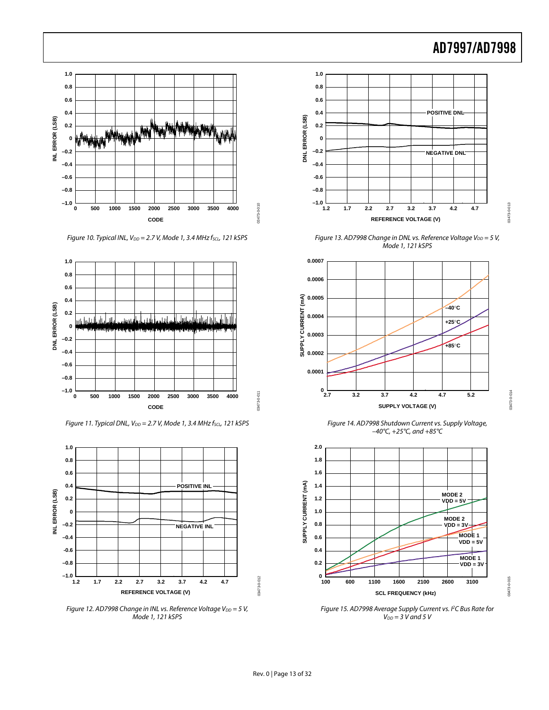03473-0-013

03473-0-013

03473-0-014

03473-0-014

03473-0-015

03473-0-015



Figure 10. Typical INL,  $V_{DD} = 2.7$  V, Mode 1, 3.4 MHz  $f_{SCL}$ , 121 kSPS



Figure 11. Typical DNL,  $V_{DD} = 2.7$  V, Mode 1, 3.4 MHz fscL, 121 kSPS



Figure 12. AD7998 Change in INL vs. Reference Voltage V $_{DD}$  = 5 V, Mode 1, 121 kSPS



Figure 13. AD7998 Change in DNL vs. Reference Voltage  $V_{DD} = 5 V$ , Mode 1, 121 kSPS



Figure 14. AD7998 Shutdown Current vs. Supply Voltage, –40°C, +25°C, and +85°C



Figure 15. AD7998 Average Supply Current vs. PC Bus Rate for  $V_{DD} = 3$  V and 5 V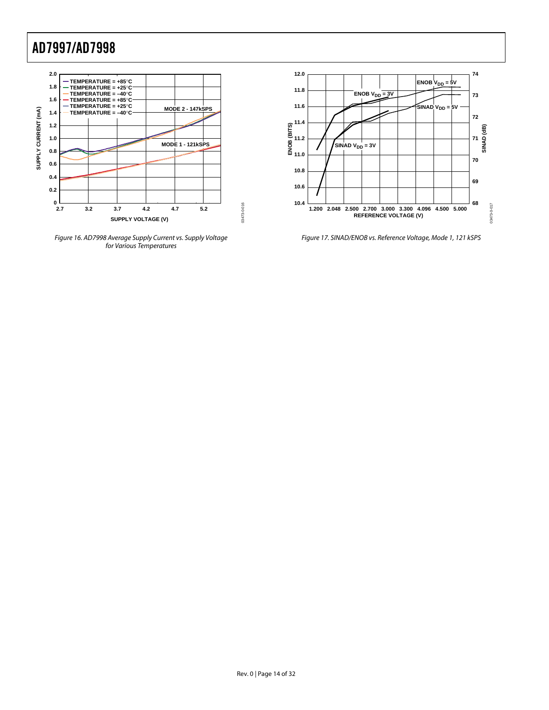

Figure 16. AD7998 Average Supply Current vs. Supply Voltage for Various Temperatures



Figure 17. SINAD/ENOB vs. Reference Voltage, Mode 1, 121 kSPS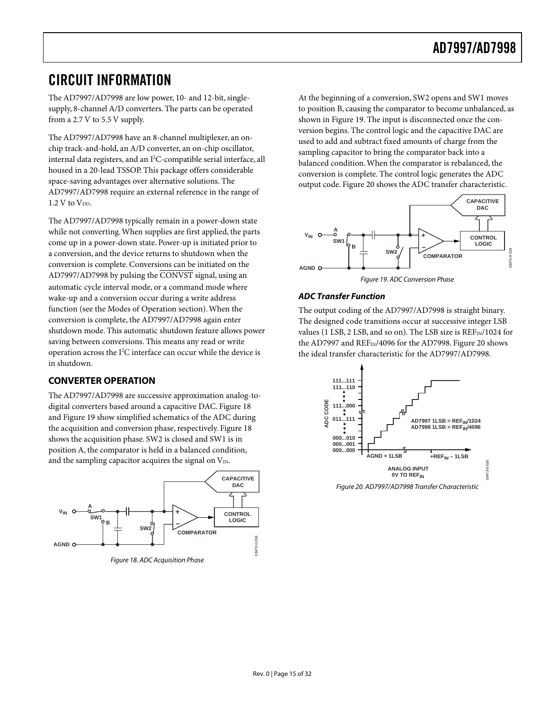### <span id="page-14-0"></span>CIRCUIT INFORMATION

The AD7997/AD7998 are low power, 10- and 12-bit, singlesupply, 8-channel A/D converters. The parts can be operated from a 2.7 V to 5.5 V supply.

The AD7997/AD7998 have an 8-channel multiplexer, an onchip track-and-hold, an A/D converter, an on-chip oscillator, internal data registers, and an I<sup>2</sup>C-compatible serial interface, all housed in a 20-lead TSSOP. This package offers considerable space-saving advantages over alternative solutions. The AD7997/AD7998 require an external reference in the range of  $1.2$  V to  $V_{DD}$ .

The AD7997/AD7998 typically remain in a power-down state while not converting.When supplies are first applied, the parts come up in a power-down state. Power-up is initiated prior to a conversion, and the device returns to shutdown when the conversion is complete. Conversions can be initiated on the AD7997/AD7998 by pulsing the CONVST signal, using an automatic cycle interval mode, or a command mode where wake-up and a conversion occur during a write address function (see the [Modes of Operation s](#page-27-1)ection).When the conversion is complete, the AD7997/AD7998 again enter shutdown mode. This automatic shutdown feature allows power saving between conversions. This means any read or write operation across the I<sup>2</sup>C interface can occur while the device is in shutdown.

#### **CONVERTER OPERATION**

The AD7997/AD7998 are successive approximation analog-todigital converters based around a capacitive DAC. [Figure 18](#page-14-1)  and [Figure 19 s](#page-14-2)how simplified schematics of the ADC during the acquisition and conversion phase, respectively. [Figure 18](#page-14-1)  shows the acquisition phase. SW2 is closed and SW1 is in position A, the comparator is held in a balanced condition, and the sampling capacitor acquires the signal on  $V_{\text{IN}}$ .

<span id="page-14-1"></span>

At the beginning of a conversion, SW2 opens and SW1 moves to position B, causing the comparator to become unbalanced, as shown in [Figure 19.](#page-14-2) The input is disconnected once the conversion begins. The control logic and the capacitive DAC are used to add and subtract fixed amounts of charge from the sampling capacitor to bring the comparator back into a balanced condition.When the comparator is rebalanced, the conversion is complete. The control logic generates the ADC output code. [Figure 20 s](#page-14-3)hows the ADC transfer characteristic.

<span id="page-14-2"></span>

#### **ADC Transfer Function**

The output coding of the AD7997/AD7998 is straight binary. The designed code transitions occur at successive integer LSB values (1 LSB, 2 LSB, and so on). The LSB size is  $REF_{IN}/1024$  for the AD7997 and  $REF_{IN}/4096$  for the AD7998. [Figure 20 s](#page-14-3)hows the ideal transfer characteristic for the AD7997/AD7998.

<span id="page-14-3"></span>

Figure 20. AD7997/AD7998 Transfer Characteristic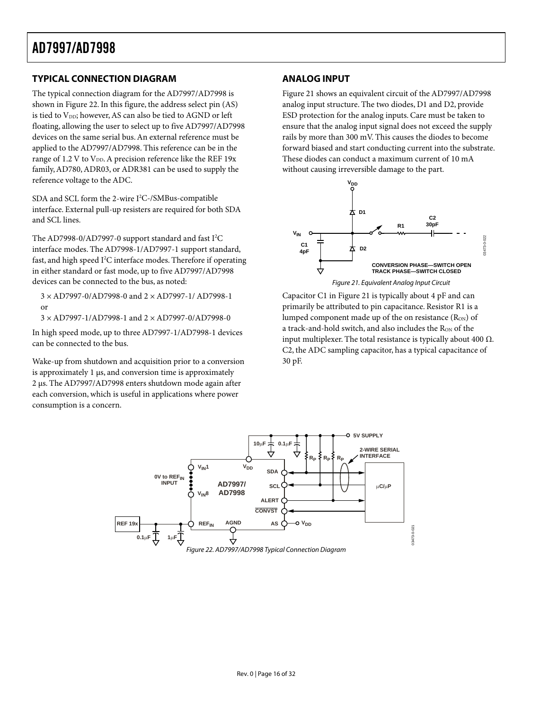#### <span id="page-15-0"></span>**TYPICAL CONNECTION DIAGRAM**

The typical connection diagram for the AD7997/AD7998 is shown in [Figure 22.](#page-15-1) In this figure, the address select pin (AS) is tied to VDD; however, AS can also be tied to AGND or left floating, allowing the user to select up to five AD7997/AD7998 devices on the same serial bus.An external reference must be applied to the AD7997/AD7998. This reference can be in the range of 1.2 V to  $V_{DD}$ . A precision reference like the REF 19x family,AD780,ADR03, or ADR381 can be used to supply the reference voltage to the ADC.

SDA and SCL form the 2-wire I 2 C-/SMBus-compatible interface. External pull-up resisters are required for both SDA and SCL lines.

The AD7998-0/AD7997-0 support standard and fast I<sup>2</sup>C interface modes. The AD7998-1/AD7997-1 support standard, fast, and high speed I<sup>2</sup>C interface modes. Therefore if operating in either standard or fast mode, up to five AD7997/AD7998 devices can be connected to the bus, as noted:

3 × AD7997-0/AD7998-0 and 2 × AD7997-1/ AD7998-1 or

3 × AD7997-1/AD7998-1 and 2 × AD7997-0/AD7998-0

In high speed mode, up to three AD7997-1/AD7998-1 devices can be connected to the bus.

Wake-up from shutdown and acquisition prior to a conversion is approximately 1 µs, and conversion time is approximately 2 µs. The AD7997/AD7998 enters shutdown mode again after each conversion, which is useful in applications where power consumption is a concern.

#### **ANALOG INPUT**

[Figure 21 s](#page-15-2)hows an equivalent circuit of the AD7997/AD7998 analog input structure. The two diodes, D1 and D2, provide ESD protection for the analog inputs. Care must be taken to ensure that the analog input signal does not exceed the supply rails by more than 300 mV. This causes the diodes to become forward biased and start conducting current into the substrate. These diodes can conduct a maximum current of 10 mA without causing irreversible damage to the part.

<span id="page-15-2"></span>

Capacitor C1 in [Figure 21 i](#page-15-2)s typically about 4 pF and can primarily be attributed to pin capacitance. Resistor R1 is a lumped component made up of the on resistance  $(R_{ON})$  of a track-and-hold switch, and also includes the R<sub>ON</sub> of the input multiplexer. The total resistance is typically about 400  $Ω$ . C2, the ADC sampling capacitor, has a typical capacitance of 30 pF.

<span id="page-15-1"></span>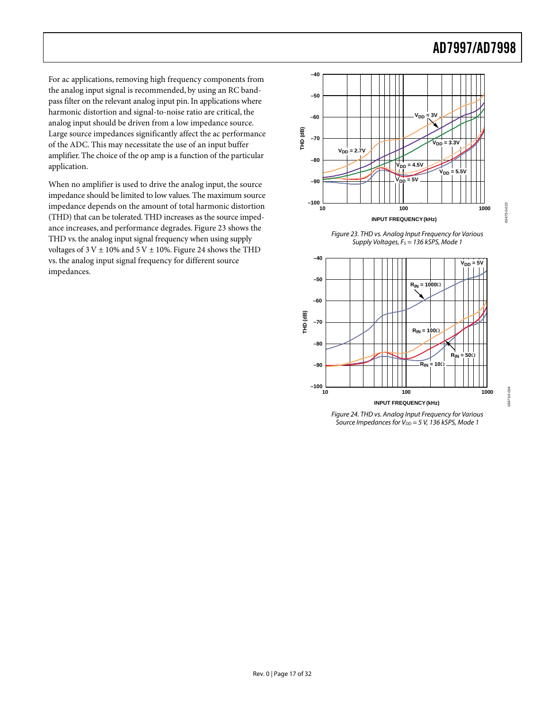03473-0-023

023-0-023

03473-0-024

0-0-273-0-024

For ac applications, removing high frequency components from the analog input signal is recommended, by using an RC bandpass filter on the relevant analog input pin. In applications where harmonic distortion and signal-to-noise ratio are critical, the analog input should be driven from a low impedance source. Large source impedances significantly affect the ac performance of the ADC. This may necessitate the use of an input buffer amplifier. The choice of the op amp is a function of the particular application.

When no amplifier is used to drive the analog input, the source impedance should be limited to low values. The maximum source impedance depends on the amount of total harmonic distortion (THD) that can be tolerated. THD increases as the source impedance increases, and performance degrades. [Figure 23 s](#page-16-0)hows the THD vs. the analog input signal frequency when using supply voltages of  $3$  V  $\pm$  10% and  $5$  V  $\pm$  10%. [Figure](#page-16-1) 24 shows the THD vs. the analog input signal frequency for different source impedances.

<span id="page-16-0"></span>

<span id="page-16-1"></span>



Figure 24. THD vs. Analog Input Frequency for Various Source Impedances for  $V_{DD} = 5$  V, 136 kSPS, Mode 1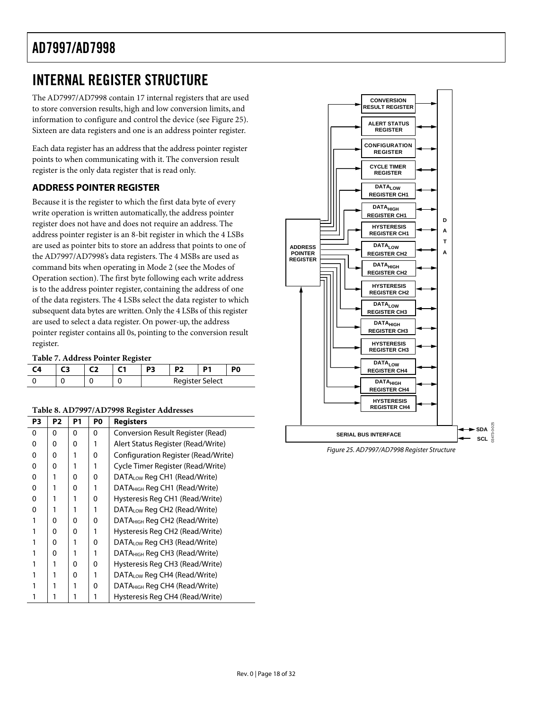### <span id="page-17-0"></span>INTERNAL REGISTER STRUCTURE

The AD7997/AD7998 contain 17 internal registers that are used to store conversion results, high and low conversion limits, and information to configure and control the device (see [Figure 25\)](#page-17-1). Sixteen are data registers and one is an address pointer register.

Each data register has an address that the address pointer register points to when communicating with it. The conversion result register is the only data register that is read only.

#### **ADDRESS POINTER REGISTER**

Because it is the register to which the first data byte of every write operation is written automatically, the address pointer register does not have and does not require an address. The address pointer register is an 8-bit register in which the 4 LSBs are used as pointer bits to store an address that points to one of the AD7997/AD7998's data registers. The 4 MSBs are used as command bits when operating in Mode 2 (see the [Modes of](#page-27-1) [Operation s](#page-27-1)ection). The first byte following each write address is to the address pointer register, containing the address of one of the data registers. The 4 LSBs select the data register to which subsequent data bytes are written. Only the 4 LSBs of this register are used to select a data register. On power-up, the address pointer register contains all 0s, pointing to the conversion result register.

#### <span id="page-17-3"></span>**Table 7. Address Pointer Register**

|  |  | P3 |                 |  |
|--|--|----|-----------------|--|
|  |  |    | Register Select |  |

#### <span id="page-17-2"></span>**Table 8. AD7997/AD7998 Register Addresses**

| P3 | P <sub>2</sub> | P1 | P <sub>0</sub> | <b>Registers</b>                          |
|----|----------------|----|----------------|-------------------------------------------|
| 0  | 0              | 0  | 0              | Conversion Result Register (Read)         |
| 0  | 0              | 0  |                | Alert Status Register (Read/Write)        |
| 0  | 0              |    | 0              | Configuration Register (Read/Write)       |
| 0  | 0              |    |                | Cycle Timer Register (Read/Write)         |
| 0  |                | 0  | 0              | DATALow Reg CH1 (Read/Write)              |
| 0  |                | 0  |                | DATA <sub>HIGH</sub> Reg CH1 (Read/Write) |
| 0  |                |    | 0              | Hysteresis Reg CH1 (Read/Write)           |
| 0  |                |    |                | DATALow Reg CH2 (Read/Write)              |
| 1  | O              | 0  | 0              | DATA <sub>HIGH</sub> Reg CH2 (Read/Write) |
|    | 0              | 0  |                | Hysteresis Reg CH2 (Read/Write)           |
|    | 0              |    | 0              | DATALow Reg CH3 (Read/Write)              |
|    | 0              |    |                | DATA <sub>HIGH</sub> Reg CH3 (Read/Write) |
|    |                | 0  | 0              | Hysteresis Reg CH3 (Read/Write)           |
|    |                | 0  |                | DATALow Reg CH4 (Read/Write)              |
|    |                |    | 0              | DATA <sub>HIGH</sub> Reg CH4 (Read/Write) |
|    |                |    |                | Hysteresis Reg CH4 (Read/Write)           |

<span id="page-17-1"></span>

Figure 25. AD7997/AD7998 Register Structure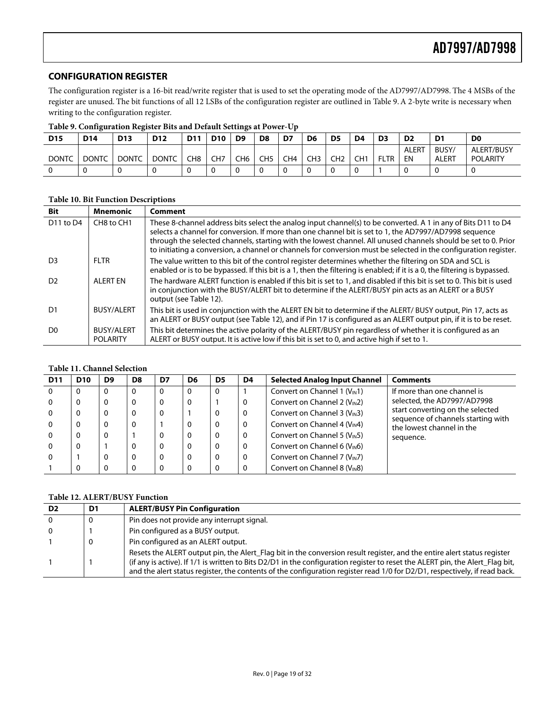#### <span id="page-18-0"></span>**CONFIGURATION REGISTER**

The configuration register is a 16-bit read/write register that is used to set the operating mode of the AD7997/AD7998. The 4 MSBs of the register are unused. The bit functions of all 12 LSBs of the configuration register are outlined in [Table 9.](#page-18-1) A 2-byte write is necessary when writing to the configuration register.

|              | TADIA SI QOHIILAHINIDII INATIONI DIM MIN DAMMILOANIILO MLI ONAL OD |                 |                 |                 |                 |                 |                 |                 |                |                 |     |                |                    |                       |                               |
|--------------|--------------------------------------------------------------------|-----------------|-----------------|-----------------|-----------------|-----------------|-----------------|-----------------|----------------|-----------------|-----|----------------|--------------------|-----------------------|-------------------------------|
| <b>D15</b>   | <b>D14</b>                                                         | D <sub>13</sub> | D <sub>12</sub> | D <sub>11</sub> | <b>D10</b>      | D <sub>9</sub>  | D8              | D7              | D <sub>6</sub> | D <sub>5</sub>  | D4  | D <sub>3</sub> | D <sub>2</sub>     | D <sub>1</sub>        | D <sub>0</sub>                |
| <b>DONTC</b> | <b>DONTC</b>                                                       | <b>DONTC</b>    | <b>DONTC</b>    | CH8             | CH <sub>7</sub> | CH <sub>6</sub> | CH <sub>5</sub> | CH <sub>4</sub> | CH3            | CH <sub>2</sub> | CH1 | <b>FLTR</b>    | <b>ALERT</b><br>ΕN | BUSY/<br><b>ALERT</b> | ALERT/BUSY<br><b>POLARITY</b> |
|              |                                                                    |                 |                 |                 |                 |                 |                 |                 |                |                 |     |                |                    |                       |                               |

<span id="page-18-1"></span>**Table 9. Configuration Register Bits and Default Settings at Power-Up** 

#### **Table 10. Bit Function Descriptions**

| <b>Bit</b>                        | <b>Mnemonic</b>                      | Comment                                                                                                                                                                                                                                                                                                                                                                                                                                                       |
|-----------------------------------|--------------------------------------|---------------------------------------------------------------------------------------------------------------------------------------------------------------------------------------------------------------------------------------------------------------------------------------------------------------------------------------------------------------------------------------------------------------------------------------------------------------|
| D <sub>11</sub> to D <sub>4</sub> | CH8 to CH1                           | These 8-channel address bits select the analog input channel(s) to be converted. A 1 in any of Bits D11 to D4<br>selects a channel for conversion. If more than one channel bit is set to 1, the AD7997/AD7998 sequence<br>through the selected channels, starting with the lowest channel. All unused channels should be set to 0. Prior<br>to initiating a conversion, a channel or channels for conversion must be selected in the configuration register. |
| D <sub>3</sub>                    | FI TR                                | The value written to this bit of the control register determines whether the filtering on SDA and SCL is<br>enabled or is to be bypassed. If this bit is a 1, then the filtering is enabled; if it is a 0, the filtering is bypassed.                                                                                                                                                                                                                         |
| D <sub>2</sub>                    | AI FRT FN                            | The hardware ALERT function is enabled if this bit is set to 1, and disabled if this bit is set to 0. This bit is used<br>in conjunction with the BUSY/ALERT bit to determine if the ALERT/BUSY pin acts as an ALERT or a BUSY<br>output (see Table 12).                                                                                                                                                                                                      |
| D1                                | <b>BUSY/ALERT</b>                    | This bit is used in conjunction with the ALERT EN bit to determine if the ALERT/BUSY output, Pin 17, acts as<br>an ALERT or BUSY output (see Table 12), and if Pin 17 is configured as an ALERT output pin, if it is to be reset.                                                                                                                                                                                                                             |
| D <sub>0</sub>                    | <b>BUSY/ALERT</b><br><b>POLARITY</b> | This bit determines the active polarity of the ALERT/BUSY pin regardless of whether it is configured as an<br>ALERT or BUSY output. It is active low if this bit is set to 0, and active high if set to 1.                                                                                                                                                                                                                                                    |

#### <span id="page-18-3"></span>**Table 11. Channel Selection**

| <b>D11</b> | <b>D10</b> | D <sub>9</sub> | D <sub>8</sub> | D7       | D6 | D5 | D4 | <b>Selected Analog Input Channel</b> | <b>Comments</b>                                                 |
|------------|------------|----------------|----------------|----------|----|----|----|--------------------------------------|-----------------------------------------------------------------|
| $\Omega$   | O          | 0              | 0              | $\Omega$ | 0  | O  |    | Convert on Channel 1 $(V_{IN}1)$     | If more than one channel is                                     |
|            |            | 0              | 0              | 0        | 0  |    | 0  | Convert on Channel 2 ( $V_{IN}$ 2)   | selected, the AD7997/AD7998                                     |
| - 0        |            |                | 0              | 0        |    |    | 0  | Convert on Channel 3 $(V_{IN}3)$     | start converting on the selected                                |
| - 0        |            |                | 0              |          | 0  |    | 0  | Convert on Channel 4 $(V_{IN}4)$     | sequence of channels starting with<br>the lowest channel in the |
| - 0        | 0          | 0              |                | 0        |    |    | 0  | Convert on Channel 5 ( $V_{IN}$ 5)   | sequence.                                                       |
| $\Omega$   | 0          |                | 0              | 0        | 0  |    | 0  | Convert on Channel 6 ( $V_{IN}$ 6)   |                                                                 |
| $\Omega$   |            |                | 0              | 0        | 0  |    | 0  | Convert on Channel 7 ( $V_{IN}$ 7)   |                                                                 |
|            |            |                |                |          |    |    |    | Convert on Channel 8 ( $V_{IN}8$ )   |                                                                 |

#### <span id="page-18-2"></span>**Table 12. ALERT/BUSY Function**

| D2 | D1 | <b>ALERT/BUSY Pin Configuration</b>                                                                                                                                                                                                                                                                                                                                                   |
|----|----|---------------------------------------------------------------------------------------------------------------------------------------------------------------------------------------------------------------------------------------------------------------------------------------------------------------------------------------------------------------------------------------|
|    |    | Pin does not provide any interrupt signal.                                                                                                                                                                                                                                                                                                                                            |
|    |    | Pin configured as a BUSY output.                                                                                                                                                                                                                                                                                                                                                      |
|    |    | Pin configured as an ALERT output.                                                                                                                                                                                                                                                                                                                                                    |
|    |    | Resets the ALERT output pin, the Alert Flag bit in the conversion result register, and the entire alert status register<br>(if any is active). If 1/1 is written to Bits D2/D1 in the configuration register to reset the ALERT pin, the Alert_Flag bit,<br>and the alert status register, the contents of the configuration register read 1/0 for D2/D1, respectively, if read back. |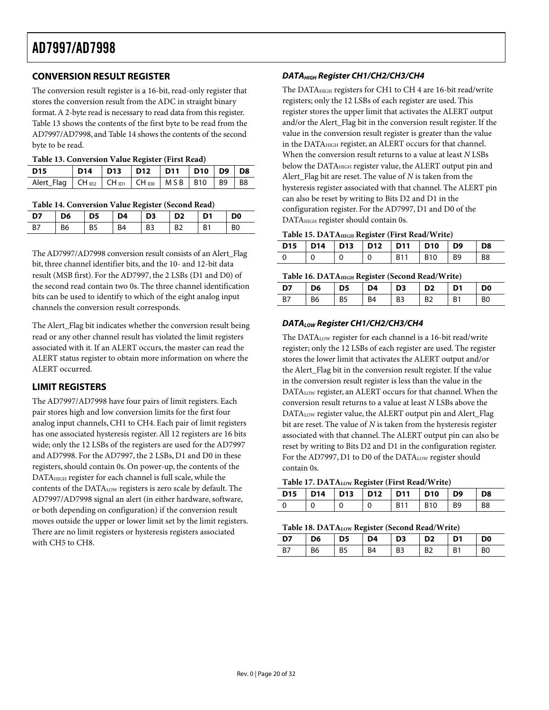#### <span id="page-19-0"></span>**CONVERSION RESULT REGISTER**

The conversion result register is a 16-bit, read-only register that stores the conversion result from the ADC in straight binary format. A 2-byte read is necessary to read data from this register. [Table 13 s](#page-19-2)hows the contents of the first byte to be read from the AD7997/AD7998, and [Table 14 s](#page-19-3)hows the contents of the second byte to be read.

<span id="page-19-2"></span>

| D15                                                        |  | D14   D13   D12   D11   D10   D9   D8 |  |  |
|------------------------------------------------------------|--|---------------------------------------|--|--|
| Alert_Flag   CH D2   CH D1   CH D0   M S B   B10   B9   B8 |  |                                       |  |  |

#### <span id="page-19-3"></span>**Table 14. Conversion Value Register (Second Read)**

| D7 | <b>D6</b>      | $\overline{D5}$ | D4             | D3   D2   D1 |           |           | D0             |
|----|----------------|-----------------|----------------|--------------|-----------|-----------|----------------|
| B7 | B <sub>6</sub> | B <sub>5</sub>  | R <sub>4</sub> | B3           | <b>B2</b> | <b>B1</b> | B <sub>0</sub> |

The AD7997/AD7998 conversion result consists of an Alert\_Flag bit, three channel identifier bits, and the 10- and 12-bit data result (MSB first). For the AD7997, the 2 LSBs (D1 and D0) of the second read contain two 0s. The three channel identification bits can be used to identify to which of the eight analog input channels the conversion result corresponds.

The Alert\_Flag bit indicates whether the conversion result being read or any other channel result has violated the limit registers associated with it. If an ALERT occurs, the master can read the ALERT status register to obtain more information on where the ALERT occurred.

#### <span id="page-19-1"></span>**LIMIT REGISTERS**

The AD7997/AD7998 have four pairs of limit registers. Each pair stores high and low conversion limits for the first four analog input channels, CH1 to CH4. Each pair of limit registers has one associated hysteresis register. All 12 registers are 16 bits wide; only the 12 LSBs of the registers are used for the AD7997 and AD7998. For the AD7997, the 2 LSBs, D1 and D0 in these registers, should contain 0s. On power-up, the contents of the DATAHIGH register for each channel is full scale, while the contents of the DATALOW registers is zero scale by default. The AD7997/AD7998 signal an alert (in either hardware, software, or both depending on configuration) if the conversion result moves outside the upper or lower limit set by the limit registers. There are no limit registers or hysteresis registers associated with CH5 to CH8.

#### **DATA<sub>HIGH</sub> Register CH1/CH2/CH3/CH4**

The DATAHIGH registers for CH1 to CH 4 are 16-bit read/write registers; only the 12 LSBs of each register are used. This register stores the upper limit that activates the ALERT output and/or the Alert\_Flag bit in the conversion result register. If the value in the conversion result register is greater than the value in the DATA<sub>HIGH</sub> register, an ALERT occurs for that channel. When the conversion result returns to a value at least *N* LSBs below the DATA<sub>HIGH</sub> register value, the ALERT output pin and Alert\_Flag bit are reset. The value of *N* is taken from the hysteresis register associated with that channel. The ALERT pin can also be reset by writing to Bits D2 and D1 in the configuration register. For the AD7997, D1 and D0 of the DATAHIGH register should contain 0s.

|  | Table 15. DATA <sub>HIGH</sub> Register (First Read/Write) |  |  |  |  |
|--|------------------------------------------------------------|--|--|--|--|
|--|------------------------------------------------------------|--|--|--|--|

| D15   D14   D13   D12   D11   D10   D9   D8 |  |                |    |
|---------------------------------------------|--|----------------|----|
|                                             |  | B11   B10   B9 | B8 |

**D7 D6 D5 D4 D3 D2 D1 D0**  B7 | B6 | B5 | B4 | B3 | B2 | B1 | B0

**Table 16. DATAHIGH Register (Second Read/Write)** 

### **DATALOW Register CH1/CH2/CH3/CH4**

The DATALOW register for each channel is a 16-bit read/write register; only the 12 LSBs of each register are used. The register stores the lower limit that activates the ALERT output and/or the Alert\_Flag bit in the conversion result register. If the value in the conversion result register is less than the value in the DATA<sub>LOW</sub> register, an ALERT occurs for that channel. When the conversion result returns to a value at least *N* LSBs above the DATALOW register value, the ALERT output pin and Alert\_Flag bit are reset. The value of *N* is taken from the hysteresis register associated with that channel. The ALERT output pin can also be reset by writing to Bits D2 and D1 in the configuration register. For the AD7997, D1 to D0 of the DATALOW register should contain 0s.

#### **Table 17. DATALOW Register (First Read/Write)**

| D15   D14   D13   D12   D11   D10   D9 |  |                                                | <b>D8</b> |
|----------------------------------------|--|------------------------------------------------|-----------|
|                                        |  | B <sub>11</sub> B <sub>10</sub> B <sub>9</sub> | <b>B8</b> |

#### **Table 18. DATA<sub>LOW</sub> Register (Second Read/Write)**

| ------- |    |                 |    |                   |                 |    |                |  |  |  |  |
|---------|----|-----------------|----|-------------------|-----------------|----|----------------|--|--|--|--|
| D7      | D6 | $\overline{D5}$ | D4 | $\overline{1}$ D3 | $\overline{D2}$ | D1 | D <sub>0</sub> |  |  |  |  |
|         | B6 | <b>B5</b>       | R4 | B3                | B <sub>2</sub>  | B1 | B <sub>0</sub> |  |  |  |  |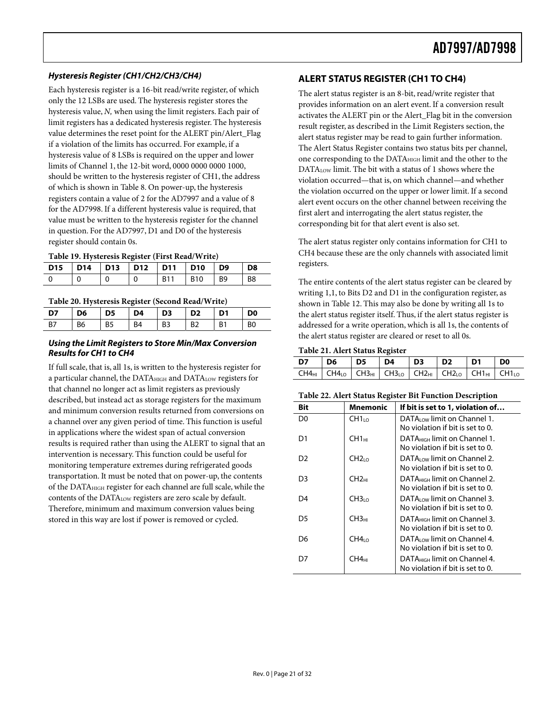#### <span id="page-20-0"></span>**Hysteresis Register (CH1/CH2/CH3/CH4)**

Each hysteresis register is a 16-bit read/write register, of which only the 12 LSBs are used. The hysteresis register stores the hysteresis value, *N,* when using the limit registers. Each pair of limit registers has a dedicated hysteresis register. The hysteresis value determines the reset point for the ALERT pin/Alert\_Flag if a violation of the limits has occurred. For example, if a hysteresis value of 8 LSBs is required on the upper and lower limits of Channel 1, the 12-bit word, 0000 0000 0000 1000, should be written to the hysteresis register of CH1, the address of which is shown in [Table 8.](#page-17-2) On power-up, the hysteresis registers contain a value of 2 for the AD7997 and a value of 8 for the AD7998. If a different hysteresis value is required, that value must be written to the hysteresis register for the channel in question. For the AD7997, D1 and D0 of the hysteresis register should contain 0s.

**Table 19. Hysteresis Register (First Read/Write)** 

| D15   D14   D13   D12   D11   D10   D9   D8 |  |       |                                |                |
|---------------------------------------------|--|-------|--------------------------------|----------------|
|                                             |  | . R11 | B <sub>10</sub> B <sub>9</sub> | B <sub>8</sub> |

#### **Table 20. Hysteresis Register (Second Read/Write)**

| D7        | D <sub>6</sub> | D <sub>5</sub> | D4        | $\overline{D}$ | D <sub>2</sub> | D1             | D <sub>0</sub> |
|-----------|----------------|----------------|-----------|----------------|----------------|----------------|----------------|
| <b>B7</b> | B <sub>6</sub> | B <sub>5</sub> | <b>B4</b> | B <sub>3</sub> | <b>B2</b>      | B <sub>1</sub> | B <sub>0</sub> |
|           |                |                |           |                |                |                |                |

#### **Using the Limit Registers to Store Min/Max Conversion Results for CH1 to CH4**

If full scale, that is, all 1s, is written to the hysteresis register for a particular channel, the DATA<sub>HIGH</sub> and DATA<sub>LOW</sub> registers for that channel no longer act as limit registers as previously described, but instead act as storage registers for the maximum and minimum conversion results returned from conversions on a channel over any given period of time. This function is useful in applications where the widest span of actual conversion results is required rather than using the ALERT to signal that an intervention is necessary. This function could be useful for monitoring temperature extremes during refrigerated goods transportation. It must be noted that on power-up, the contents of the DATAHIGH register for each channel are full scale, while the contents of the DATALOW registers are zero scale by default. Therefore, minimum and maximum conversion values being stored in this way are lost if power is removed or cycled.

#### **ALERT STATUS REGISTER (CH1 TO CH4)**

The alert status register is an 8-bit, read/write register that provides information on an alert event. If a conversion result activates the ALERT pin or the Alert\_Flag bit in the conversion result register, as described in the [Limit Registers s](#page-19-1)ection, the alert status register may be read to gain further information. The Alert Status Register contains two status bits per channel, one corresponding to the DATA<sub>HIGH</sub> limit and the other to the DATA<sub>LOW</sub> limit. The bit with a status of 1 shows where the violation occurred—that is, on which channel—and whether the violation occurred on the upper or lower limit. If a second alert event occurs on the other channel between receiving the first alert and interrogating the alert status register, the corresponding bit for that alert event is also set.

The alert status register only contains information for CH1 to CH4 because these are the only channels with associated limit registers.

The entire contents of the alert status register can be cleared by writing 1,1, to Bits D2 and D1 in the configuration register, as shown in [Table 12.](#page-18-2) This may also be done by writing all 1s to the alert status register itself. Thus, if the alert status register is addressed for a write operation, which is all 1s, the contents of the alert status register are cleared or reset to all 0s.

#### **Table 21. Alert Status Register**

| D7 | D6   D5   D4   D3   D2                                        |  |  | $\blacksquare$ | D <sub>0</sub> |
|----|---------------------------------------------------------------|--|--|----------------|----------------|
|    | CH4HI   CH4LO   CH3HI   CH3LO   CH2HI   CH2LO   CH1HI   CH1LO |  |  |                |                |

#### **Table 22. Alert Status Register Bit Function Description**

| Bit            | Mnemonic           | If bit is set to 1, violation of                                             |
|----------------|--------------------|------------------------------------------------------------------------------|
| D0             | $CH1_{10}$         | DATALOW limit on Channel 1.<br>No violation if bit is set to 0.              |
| D1             | CH1HI              | DATA <sub>HIGH</sub> limit on Channel 1.<br>No violation if bit is set to 0. |
| D <sub>2</sub> | CH2 <sub>10</sub>  | <b>DATA</b> low limit on Channel 2.<br>No violation if bit is set to 0.      |
| D3             | CH <sub>2</sub> HI | DATA <sub>HIGH</sub> limit on Channel 2.<br>No violation if bit is set to 0. |
| D4             | CH3 <sub>10</sub>  | DATA I OW limit on Channel 3.<br>No violation if bit is set to 0.            |
| D5             | СНЗні              | DATA <sub>HIGH</sub> limit on Channel 3.<br>No violation if bit is set to 0. |
| D6             | $CH4_{10}$         | DATA <sub>LOW</sub> limit on Channel 4.<br>No violation if bit is set to 0.  |
| D7             | CH4 <sub>HI</sub>  | DATA <sub>HIGH</sub> limit on Channel 4.<br>No violation if bit is set to 0. |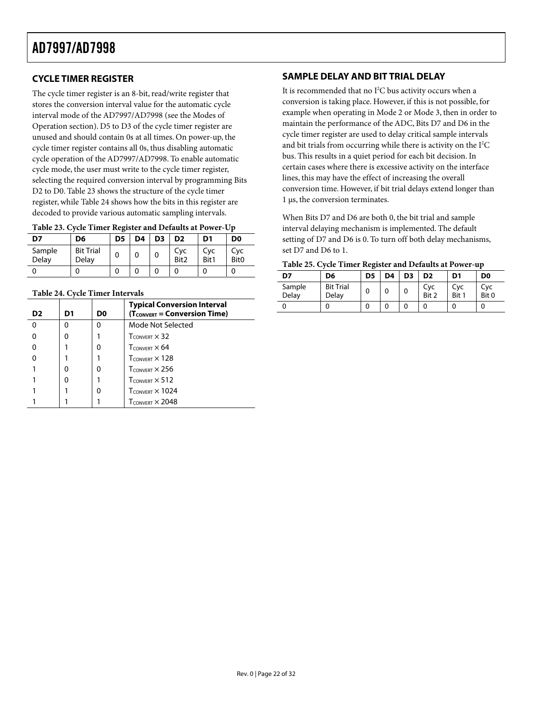#### <span id="page-21-0"></span>**CYCLE TIMER REGISTER**

The cycle timer register is an 8-bit, read/write register that stores the conversion interval value for the automatic cycle interval mode of the AD7997/AD7998 (see the [Modes of](#page-27-1)  [Operation s](#page-27-1)ection). D5 to D3 of the cycle timer register are unused and should contain 0s at all times. On power-up, the cycle timer register contains all 0s, thus disabling automatic cycle operation of the AD7997/AD7998. To enable automatic cycle mode, the user must write to the cycle timer register, selecting the required conversion interval by programming Bits D2 to D0. [Table 23 s](#page-21-1)hows the structure of the cycle timer register, while [Table 24 s](#page-21-2)hows how the bits in this register are decoded to provide various automatic sampling intervals.

<span id="page-21-1"></span>

| D7              | D6                        | D <sub>5</sub> | D4 | D <sub>3</sub> | D <sub>2</sub> | D1          | D <sub>0</sub>          |
|-----------------|---------------------------|----------------|----|----------------|----------------|-------------|-------------------------|
| Sample<br>Delay | <b>Bit Trial</b><br>Delav | 0              |    | 0              | Cyc<br>Bit2    | Cvc<br>Bit1 | Cyc<br>Bit <sub>0</sub> |
|                 |                           |                |    |                |                |             |                         |

#### <span id="page-21-2"></span>**Table 24. Cycle Timer Intervals**

| D2 | D1 | D0 | <b>Typical Conversion Interval</b><br>$(T_{\text{CONVERT}} = \text{Conversion Time})$ |
|----|----|----|---------------------------------------------------------------------------------------|
| O  | ŋ  | O  | Mode Not Selected                                                                     |
|    | O  |    | $T_{\text{CONVERT}} \times 32$                                                        |
|    |    | O  | $T_{\text{CONVERT}} \times 64$                                                        |
|    |    |    | $T_{\text{CONVERT}} \times 128$                                                       |
|    | ŋ  | O  | $T_{\text{CONVERT}} \times 256$                                                       |
|    | O  |    | $T_{\text{CONVERT}} \times 512$                                                       |
|    |    |    | $T_{\text{CONVERT}} \times 1024$                                                      |
|    |    |    | $T_{CONVERT} \times 2048$                                                             |

#### **SAMPLE DELAY AND BIT TRIAL DELAY**

It is recommended that no I<sup>2</sup>C bus activity occurs when a conversion is taking place. However, if this is not possible, for example when operating in Mode 2 or Mode 3, then in order to maintain the performance of the ADC, Bits D7 and D6 in the cycle timer register are used to delay critical sample intervals and bit trials from occurring while there is activity on the  $I<sup>2</sup>C$ bus. This results in a quiet period for each bit decision. In certain cases where there is excessive activity on the interface lines, this may have the effect of increasing the overall conversion time. However, if bit trial delays extend longer than 1 µs, the conversion terminates.

When Bits D7 and D6 are both 0, the bit trial and sample interval delaying mechanism is implemented. The default setting of D7 and D6 is 0. To turn off both delay mechanisms, set D7 and D6 to 1.

| D7              | D6                        | D <sub>5</sub> | D4 | D <sub>3</sub> | D <sub>2</sub> | D <sub>1</sub> | D <sub>0</sub> |
|-----------------|---------------------------|----------------|----|----------------|----------------|----------------|----------------|
| Sample<br>Delay | <b>Bit Trial</b><br>Delay | 0              |    | 0              | Cvc<br>Bit 2   | Cvc<br>Bit 1   | Cvc<br>Bit 0   |
|                 |                           |                |    |                |                |                |                |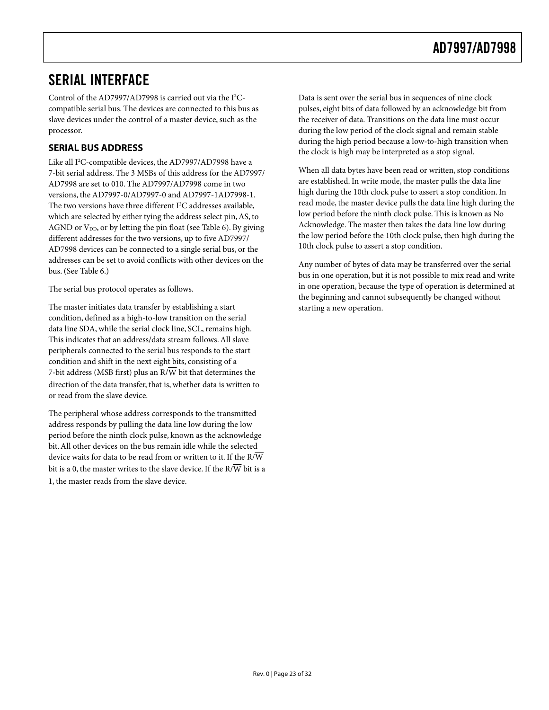### <span id="page-22-0"></span>SERIAL INTERFACE

Control of the AD7997/AD7998 is carried out via the I<sup>2</sup>Ccompatible serial bus. The devices are connected to this bus as slave devices under the control of a master device, such as the processor.

#### **SERIAL BUS ADDRESS**

Like all I<sup>2</sup>C-compatible devices, the AD7997/AD7998 have a 7-bit serial address. The 3 MSBs of this address for the AD7997/ AD7998 are set to 010. The AD7997/AD7998 come in two versions, the AD7997-0/AD7997-0 and AD7997-1AD7998-1. The two versions have three different  $I^2C$  addresses available, which are selected by either tying the address select pin, AS, to AGND or  $V_{DD}$ , or by letting the pin float (see [Table 6\)](#page-9-2). By giving different addresses for the two versions, up to five AD7997/ AD7998 devices can be connected to a single serial bus, or the addresses can be set to avoid conflicts with other devices on the bus. (See [Table 6.\)](#page-9-2)

The serial bus protocol operates as follows.

The master initiates data transfer by establishing a start condition, defined as a high-to-low transition on the serial data line SDA, while the serial clock line, SCL, remains high. This indicates that an address/data stream follows. All slave peripherals connected to the serial bus responds to the start condition and shift in the next eight bits, consisting of a 7-bit address (MSB first) plus an  $R/\overline{W}$  bit that determines the direction of the data transfer, that is, whether data is written to or read from the slave device.

The peripheral whose address corresponds to the transmitted address responds by pulling the data line low during the low period before the ninth clock pulse, known as the acknowledge bit. All other devices on the bus remain idle while the selected device waits for data to be read from or written to it. If the R/W bit is a 0, the master writes to the slave device. If the R/ $\overline{\text{W}}$  bit is a 1, the master reads from the slave device.

Data is sent over the serial bus in sequences of nine clock pulses, eight bits of data followed by an acknowledge bit from the receiver of data. Transitions on the data line must occur during the low period of the clock signal and remain stable during the high period because a low-to-high transition when the clock is high may be interpreted as a stop signal.

When all data bytes have been read or written, stop conditions are established. In write mode, the master pulls the data line high during the 10th clock pulse to assert a stop condition. In read mode, the master device pulls the data line high during the low period before the ninth clock pulse. This is known as No Acknowledge. The master then takes the data line low during the low period before the 10th clock pulse, then high during the 10th clock pulse to assert a stop condition.

Any number of bytes of data may be transferred over the serial bus in one operation, but it is not possible to mix read and write in one operation, because the type of operation is determined at the beginning and cannot subsequently be changed without starting a new operation.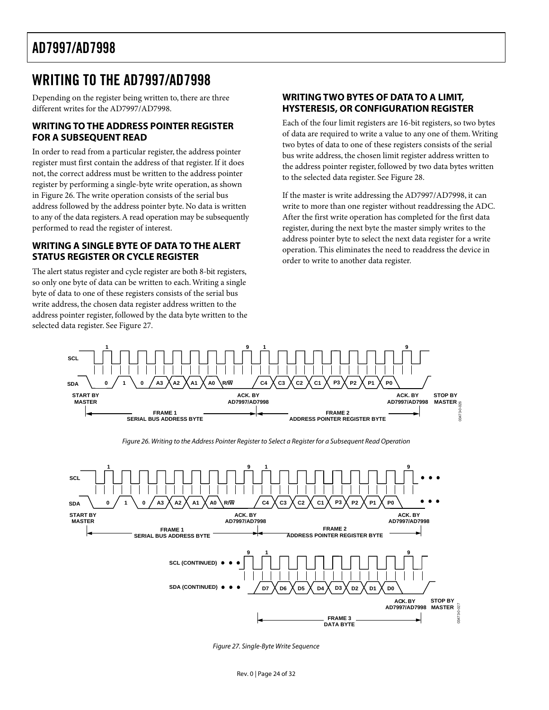### <span id="page-23-0"></span>WRITING TO THE AD7997/AD7998

Depending on the register being written to, there are three different writes for the AD7997/AD7998.

#### **WRITING TO THE ADDRESS POINTER REGISTER FOR A SUBSEQUENT READ**

In order to read from a particular register, the address pointer register must first contain the address of that register. If it does not, the correct address must be written to the address pointer register by performing a single-byte write operation, as shown in [Figure 26.](#page-23-1) The write operation consists of the serial bus address followed by the address pointer byte. No data is written to any of the data registers.A read operation may be subsequently performed to read the register of interest.

#### **WRITING A SINGLE BYTE OF DATATO THE ALERT STATUS REGISTER OR CYCLE REGISTER**

The alert status register and cycle register are both 8-bit registers, so only one byte of data can be written to each.Writing a single byte of data to one of these registers consists of the serial bus write address, the chosen data register address written to the address pointer register, followed by the data byte written to the selected data register. See [Figure 27.](#page-23-2) 

#### **WRITING TWO BYTES OF DATATO A LIMIT, HYSTERESIS, OR CONFIGURATION REGISTER**

Each of the four limit registers are 16-bit registers, so two bytes of data are required to write a value to any one of them.Writing two bytes of data to one of these registers consists of the serial bus write address, the chosen limit register address written to the address pointer register, followed by two data bytes written to the selected data register. See [Figure 28.](#page-24-0) 

If the master is write addressing the AD7997/AD7998, it can write to more than one register without readdressing the ADC. After the first write operation has completed for the first data register, during the next byte the master simply writes to the address pointer byte to select the next data register for a write operation. This eliminates the need to readdress the device in order to write to another data register.

<span id="page-23-1"></span>

<span id="page-23-2"></span>Figure 27. Single-Byte Write Sequence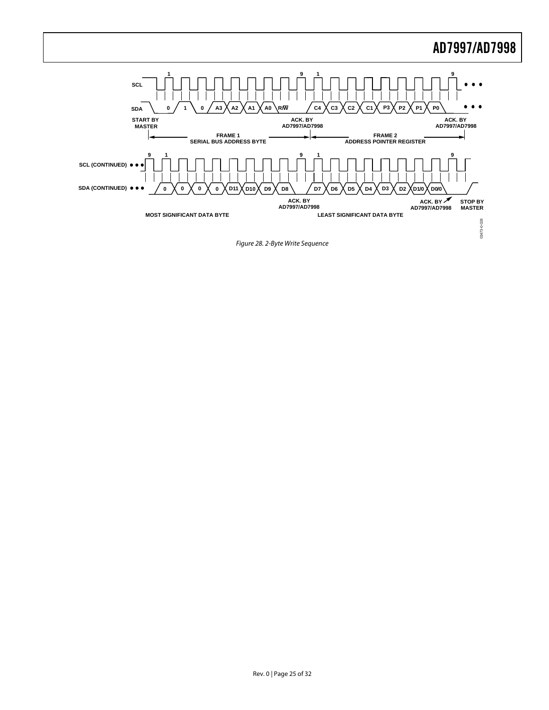<span id="page-24-0"></span>

Figure 28. 2-Byte Write Sequence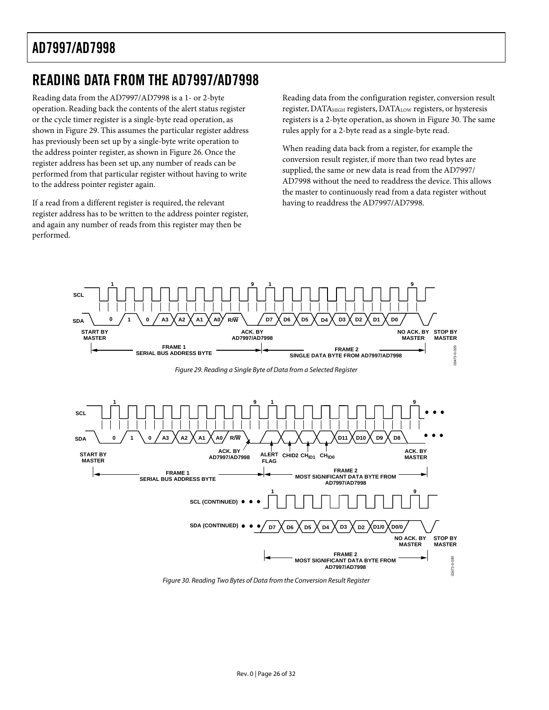### <span id="page-25-0"></span>READING DATA FROM THE AD7997/AD7998

Reading data from the AD7997/AD7998 is a 1- or 2-byte operation. Reading back the contents of the alert status register or the cycle timer register is a single-byte read operation, as shown in [Figure 29.](#page-25-1) This assumes the particular register address has previously been set up by a single-byte write operation to the address pointer register, as shown in [Figure 26.](#page-23-1) Once the register address has been set up, any number of reads can be performed from that particular register without having to write to the address pointer register again.

If a read from a different register is required, the relevant register address has to be written to the address pointer register, and again any number of reads from this register may then be performed.

Reading data from the configuration register, conversion result register, DATAHIGH registers, DATALOW registers, or hysteresis registers is a 2-byte operation, as shown in [Figure 30.](#page-25-2) The same rules apply for a 2-byte read as a single-byte read.

When reading data back from a register, for example the conversion result register, if more than two read bytes are supplied, the same or new data is read from the AD7997/ AD7998 without the need to readdress the device. This allows the master to continuously read from a data register without having to readdress the AD7997/AD7998.

<span id="page-25-2"></span><span id="page-25-1"></span>

Figure 30. Reading Two Bytes of Data from the Conversion Result Register

 **AD7997/AD7998**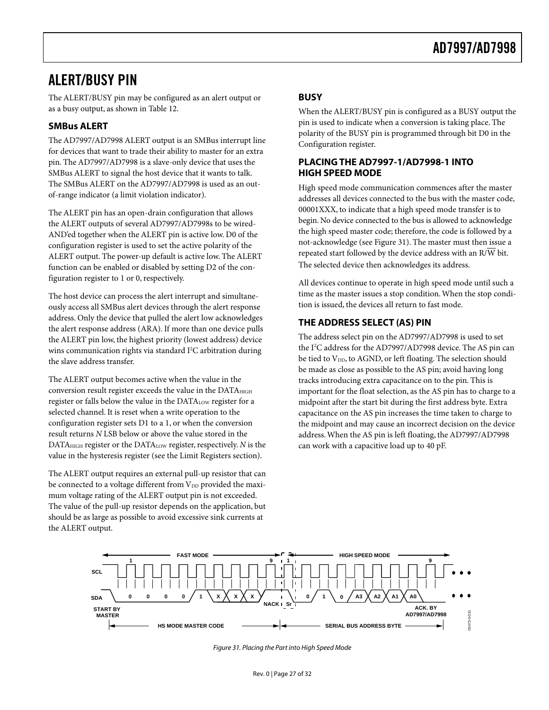### <span id="page-26-0"></span>ALERT/BUSY PIN

The ALERT/BUSY pin may be configured as an alert output or as a busy output, as shown in [Table 12.](#page-18-2) 

#### **SMBus ALERT**

The AD7997/AD7998 ALERT output is an SMBus interrupt line for devices that want to trade their ability to master for an extra pin. The AD7997/AD7998 is a slave-only device that uses the SMBus ALERT to signal the host device that it wants to talk. The SMBus ALERT on the AD7997/AD7998 is used as an outof-range indicator (a limit violation indicator).

The ALERT pin has an open-drain configuration that allows the ALERT outputs of several AD7997/AD7998s to be wired-AND'ed together when the ALERT pin is active low. D0 of the configuration register is used to set the active polarity of the ALERT output. The power-up default is active low. The ALERT function can be enabled or disabled by setting D2 of the configuration register to 1 or 0, respectively.

The host device can process the alert interrupt and simultaneously access all SMBus alert devices through the alert response address. Only the device that pulled the alert low acknowledges the alert response address (ARA). If more than one device pulls the ALERT pin low, the highest priority (lowest address) device wins communication rights via standard  $I^2C$  arbitration during the slave address transfer.

The ALERT output becomes active when the value in the conversion result register exceeds the value in the DATA<sub>HIGH</sub> register or falls below the value in the DATA<sub>LOW</sub> register for a selected channel. It is reset when a write operation to the configuration register sets D1 to a 1, or when the conversion result returns *N* LSB below or above the value stored in the DATAHIGH register or the DATALOW register, respectively. *N* is the value in the hysteresis register (see the [Limit Registers s](#page-19-1)ection).

The ALERT output requires an external pull-up resistor that can be connected to a voltage different from  $V_{DD}$  provided the maximum voltage rating of the ALERT output pin is not exceeded. The value of the pull-up resistor depends on the application, but should be as large as possible to avoid excessive sink currents at the ALERT output.

#### **BUSY**

When the ALERT/BUSY pin is configured as a BUSY output the pin is used to indicate when a conversion is taking place. The polarity of the BUSY pin is programmed through bit D0 in the Configuration register.

#### **PLACING THE AD7997-1/AD7998-1 INTO HIGH SPEED MODE**

High speed mode communication commences after the master addresses all devices connected to the bus with the master code, 00001XXX, to indicate that a high speed mode transfer is to begin. No device connected to the bus is allowed to acknowledge the high speed master code; therefore, the code is followed by a not-acknowledge (see [Figure 31\)](#page-26-1). The master must then issue a repeated start followed by the device address with an R/W bit. The selected device then acknowledges its address.

All devices continue to operate in high speed mode until such a time as the master issues a stop condition. When the stop condition is issued, the devices all return to fast mode.

#### **THE ADDRESS SELECT (AS) PIN**

The address select pin on the AD7997/AD7998 is used to set the I<sup>2</sup>C address for the AD7997/AD7998 device. The AS pin can be tied to V<sub>DD</sub>, to AGND, or left floating. The selection should be made as close as possible to the AS pin; avoid having long tracks introducing extra capacitance on to the pin. This is important for the float selection, as the AS pin has to charge to a midpoint after the start bit during the first address byte. Extra capacitance on the AS pin increases the time taken to charge to the midpoint and may cause an incorrect decision on the device address.When the AS pin is left floating, the AD7997/AD7998 can work with a capacitive load up to 40 pF.



<span id="page-26-1"></span>Figure 31. Placing the Part into High Speed Mode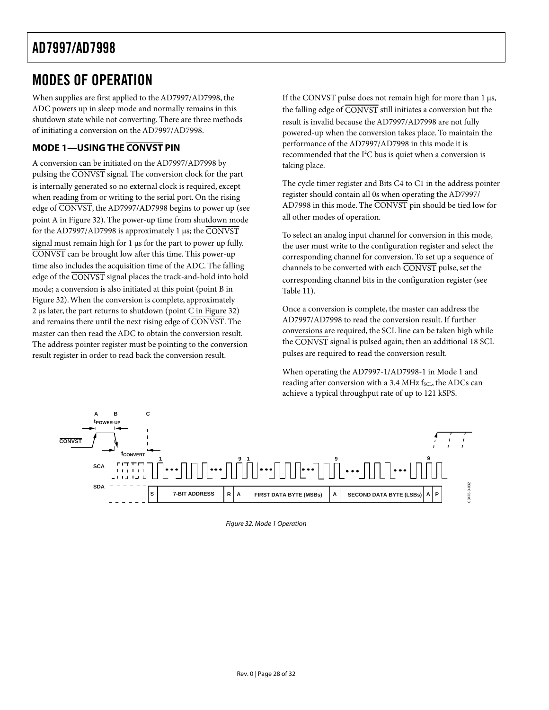### <span id="page-27-1"></span><span id="page-27-0"></span>MODES OF OPERATION

When supplies are first applied to the AD7997/AD7998, the ADC powers up in sleep mode and normally remains in this shutdown state while not converting. There are three methods of initiating a conversion on the AD7997/AD7998.

### **MODE 1—USING THE CONVST PIN**

A conversion can be initiated on the AD7997/AD7998 by pulsing the CONVST signal. The conversion clock for the part is internally generated so no external clock is required, except when reading from or writing to the serial port. On the rising edge of CONVST, the AD7997/AD7998 begins to power up (see point A in [Figure 32\)](#page-27-2). The power-up time from shutdown mode for the AD7997/AD7998 is approximately 1 µs; the CONVST signal must remain high for 1  $\mu$ s for the part to power up fully. CONVST can be brought low after this time. This power-up time also includes the acquisition time of the ADC. The falling edge of the CONVST signal places the track-and-hold into hold mode; a conversion is also initiated at this point (point B in [Figure 32\)](#page-27-2).When the conversion is complete, approximately 2 µs later, the part returns to shutdown (point C in [Figure 32\)](#page-27-2) and remains there until the next rising edge of CONVST. The master can then read the ADC to obtain the conversion result. The address pointer register must be pointing to the conversion result register in order to read back the conversion result.

If the  $\overline{CONVST}$  pulse does not remain high for more than 1  $\mu$ s, the falling edge of  $\overline{\text{CONVST}}$  still initiates a conversion but the result is invalid because the AD7997/AD7998 are not fully powered-up when the conversion takes place. To maintain the performance of the AD7997/AD7998 in this mode it is recommended that the I<sup>2</sup>C bus is quiet when a conversion is taking place.

The cycle timer register and Bits C4 to C1 in the address pointer register should contain all 0s when operating the AD7997/ AD7998 in this mode. The CONVST pin should be tied low for all other modes of operation.

To select an analog input channel for conversion in this mode, the user must write to the configuration register and select the corresponding channel for conversion. To set up a sequence of channels to be converted with each CONVST pulse, set the corresponding channel bits in the configuration register (see [Table 11\)](#page-18-3).

Once a conversion is complete, the master can address the AD7997/AD7998 to read the conversion result. If further conversions are required, the SCL line can be taken high while the CONVST signal is pulsed again; then an additional 18 SCL pulses are required to read the conversion result.

<span id="page-27-2"></span>When operating the AD7997-1/AD7998-1 in Mode 1 and reading after conversion with a 3.4 MHz  $f_{SCL}$ , the ADCs can achieve a typical throughput rate of up to 121 kSPS.



Figure 32. Mode 1 Operation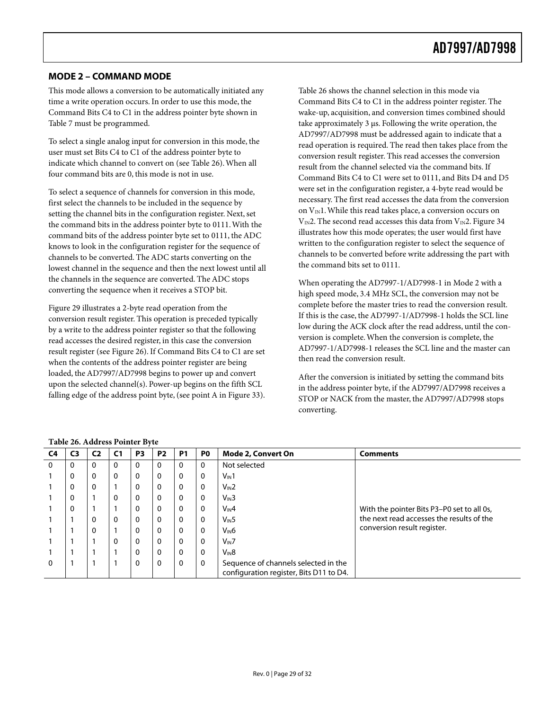#### <span id="page-28-0"></span>**MODE 2 – COMMAND MODE**

This mode allows a conversion to be automatically initiated any time a write operation occurs. In order to use this mode, the Command Bits C4 to C1 in the address pointer byte shown in [Table 7 m](#page-17-3)ust be programmed.

To select a single analog input for conversion in this mode, the user must set Bits C4 to C1 of the address pointer byte to indicate which channel to convert on (see [Table 26\)](#page-28-1). When all four command bits are 0, this mode is not in use.

To select a sequence of channels for conversion in this mode, first select the channels to be included in the sequence by setting the channel bits in the configuration register. Next, set the command bits in the address pointer byte to 0111. With the command bits of the address pointer byte set to 0111, the ADC knows to look in the configuration register for the sequence of channels to be converted. The ADC starts converting on the lowest channel in the sequence and then the next lowest until all the channels in the sequence are converted. The ADC stops converting the sequence when it receives a STOP bit.

[Figure 29 i](#page-25-1)llustrates a 2-byte read operation from the conversion result register. This operation is preceded typically by a write to the address pointer register so that the following read accesses the desired register, in this case the conversion result register (see [Figure 26\)](#page-23-1). If Command Bits C4 to C1 are set when the contents of the address pointer register are being loaded, the AD7997/AD7998 begins to power up and convert upon the selected channel(s). Power-up begins on the fifth SCL falling edge of the address point byte, (see point A in [Figure 33\)](#page-29-1).

[Table 26 s](#page-28-1)hows the channel selection in this mode via Command Bits C4 to C1 in the address pointer register. The wake-up, acquisition, and conversion times combined should take approximately 3 µs. Following the write operation, the AD7997/AD7998 must be addressed again to indicate that a read operation is required. The read then takes place from the conversion result register. This read accesses the conversion result from the channel selected via the command bits. If Command Bits C4 to C1 were set to 0111, and Bits D4 and D5 were set in the configuration register, a 4-byte read would be necessary. The first read accesses the data from the conversion on  $V_{\text{IN}}$ 1. While this read takes place, a conversion occurs on  $V_{IN}$ 2. The second read accesses this data from  $V_{IN}$ 2. Figure 34 illustrates how this mode operates; the user would first have written to the configuration register to select the sequence of channels to be converted before write addressing the part with the command bits set to 0111.

When operating the AD7997-1/AD7998-1 in Mode 2 with a high speed mode, 3.4 MHz SCL, the conversion may not be complete before the master tries to read the conversion result. If this is the case, the AD7997-1/AD7998-1 holds the SCL line low during the ACK clock after the read address, until the conversion is complete. When the conversion is complete, the AD7997-1/AD7998-1 releases the SCL line and the master can then read the conversion result.

After the conversion is initiated by setting the command bits in the address pointer byte, if the AD7997/AD7998 receives a STOP or NACK from the master, the AD7997/AD7998 stops converting.

| C4       | C <sub>3</sub> | C2       | C <sub>1</sub> | P <sub>3</sub> | P <sub>2</sub> | P <sub>1</sub> | P <sub>0</sub> | <b>Mode 2, Convert On</b>                                                       | <b>Comments</b>                            |
|----------|----------------|----------|----------------|----------------|----------------|----------------|----------------|---------------------------------------------------------------------------------|--------------------------------------------|
| $\Omega$ | 0              | 0        | $\mathbf{0}$   | $\mathbf{0}$   | $\mathbf{0}$   | 0              | $\Omega$       | Not selected                                                                    |                                            |
|          | $\mathbf 0$    | $\Omega$ | $\Omega$       | $\Omega$       | $\mathbf{0}$   | $\Omega$       | $\mathbf{0}$   | $V_{\text{IN}}1$                                                                |                                            |
|          | 0              | $\Omega$ |                | $\Omega$       | $\Omega$       | 0              | $\Omega$       | $V_{IN}2$                                                                       |                                            |
|          | $\mathbf 0$    |          | $\Omega$       | $\Omega$       | 0              | $\Omega$       | $\mathbf{0}$   | $V_{IN}3$                                                                       |                                            |
|          | $\mathbf 0$    |          |                | $\Omega$       | 0              | $\mathbf{0}$   | $\mathbf{0}$   | $V_{IN}4$                                                                       | With the pointer Bits P3-P0 set to all 0s, |
|          |                |          | $\Omega$       | $\Omega$       | $\Omega$       | $\mathbf{0}$   | $\mathbf{0}$   | V <sub>IN</sub> 5                                                               | the next read accesses the results of the  |
|          |                |          |                | $\Omega$       | $\Omega$       | $\mathbf{0}$   | $\mathbf{0}$   | $V_{\text{IN}}6$                                                                | conversion result register.                |
|          |                |          | $\Omega$       | $\Omega$       | $\Omega$       | $\mathbf{0}$   | $\mathbf{0}$   | $V_{IN}$ 7                                                                      |                                            |
|          |                |          |                | $\mathbf 0$    | 0              | $\mathbf{0}$   | 0              | $V_{IN}8$                                                                       |                                            |
| $\Omega$ |                |          |                | $\Omega$       | $\Omega$       | 0              | $\Omega$       | Sequence of channels selected in the<br>configuration register, Bits D11 to D4. |                                            |

<span id="page-28-1"></span>**Table 26. Address Pointer Byte**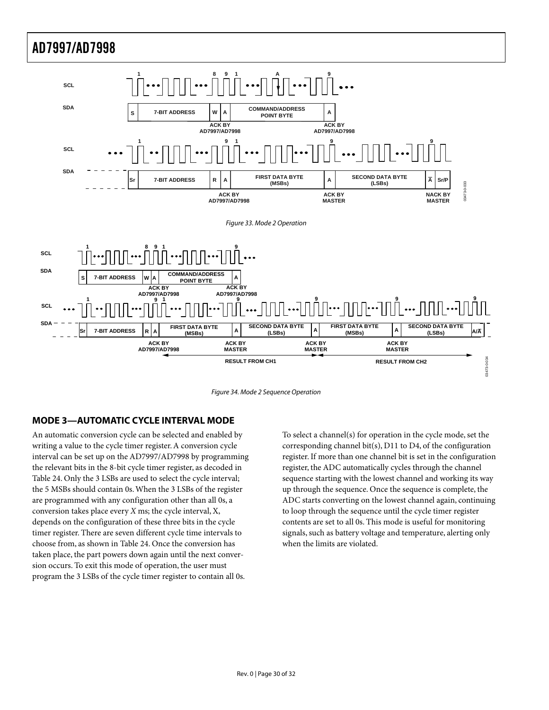<span id="page-29-1"></span><span id="page-29-0"></span>

<span id="page-29-2"></span>Figure 34. Mode 2 Sequence Operation

#### **MODE 3—AUTOMATIC CYCLE INTERVAL MODE**

An automatic conversion cycle can be selected and enabled by writing a value to the cycle timer register.A conversion cycle interval can be set up on the AD7997/AD7998 by programming the relevant bits in the 8-bit cycle timer register, as decoded in [Table 24.](#page-21-2) Only the 3 LSBs are used to select the cycle interval; the 5 MSBs should contain 0s.When the 3 LSBs of the register are programmed with any configuration other than all 0s, a conversion takes place every *X* ms; the cycle interval, X, depends on the configuration of these three bits in the cycle timer register. There are seven different cycle time intervals to choose from, as shown in [Table 24.](#page-21-2) Once the conversion has taken place, the part powers down again until the next conversion occurs. To exit this mode of operation, the user must program the 3 LSBs of the cycle timer register to contain all 0s.

To select a channel(s) for operation in the cycle mode, set the corresponding channel bit(s), D11 to D4, of the configuration register. If more than one channel bit is set in the configuration register, the ADC automatically cycles through the channel sequence starting with the lowest channel and working its way up through the sequence. Once the sequence is complete, the ADC starts converting on the lowest channel again, continuing to loop through the sequence until the cycle timer register contents are set to all 0s. This mode is useful for monitoring signals, such as battery voltage and temperature, alerting only when the limits are violated.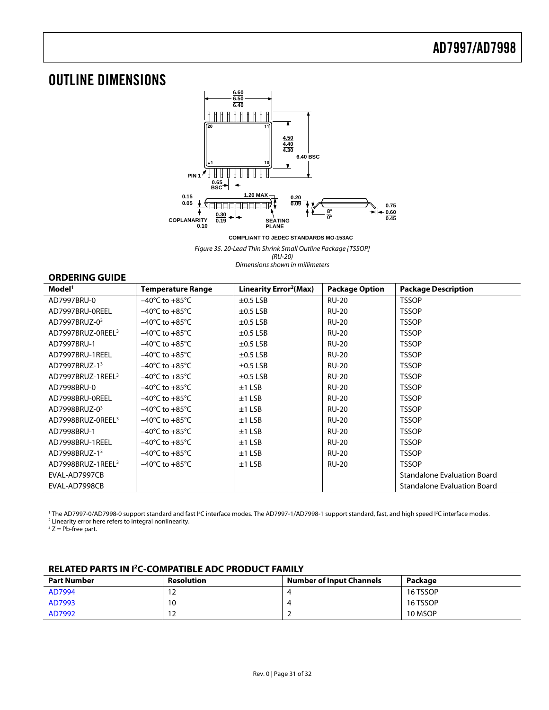### <span id="page-30-0"></span>OUTLINE DIMENSIONS



**COMPLIANT TO JEDEC STANDARDS MO-153AC**

Figure 35. 20-Lead Thin Shrink Small Outline Package [TSSOP]

(RU-20) Dimensions shown in millimeters

#### **ORDERING GUIDE**

<span id="page-30-2"></span>

| Model <sup>1</sup>            | <b>Temperature Range</b>           | Linearity Error <sup>2</sup> (Max) | <b>Package Option</b> | <b>Package Description</b>         |
|-------------------------------|------------------------------------|------------------------------------|-----------------------|------------------------------------|
| AD7997BRU-0                   | $-40^{\circ}$ C to $+85^{\circ}$ C | $\pm$ 0.5 LSB                      | <b>RU-20</b>          | <b>TSSOP</b>                       |
| AD7997BRU-0REEL               | $-40^{\circ}$ C to $+85^{\circ}$ C | $\pm$ 0.5 LSB                      | <b>RU-20</b>          | <b>TSSOP</b>                       |
| AD7997BRUZ-03                 | $-40^{\circ}$ C to $+85^{\circ}$ C | $\pm$ 0.5 LSB                      | <b>RU-20</b>          | <b>TSSOP</b>                       |
| AD7997BRUZ-0REEL <sup>3</sup> | $-40^{\circ}$ C to $+85^{\circ}$ C | $\pm$ 0.5 LSB                      | <b>RU-20</b>          | <b>TSSOP</b>                       |
| AD7997BRU-1                   | $-40^{\circ}$ C to $+85^{\circ}$ C | $\pm$ 0.5 LSB                      | <b>RU-20</b>          | <b>TSSOP</b>                       |
| AD7997BRU-1REEL               | $-40^{\circ}$ C to $+85^{\circ}$ C | $\pm$ 0.5 LSB                      | <b>RU-20</b>          | <b>TSSOP</b>                       |
| AD7997BRUZ-13                 | $-40^{\circ}$ C to $+85^{\circ}$ C | $\pm$ 0.5 LSB                      | <b>RU-20</b>          | <b>TSSOP</b>                       |
| AD7997BRUZ-1REEL <sup>3</sup> | $-40^{\circ}$ C to $+85^{\circ}$ C | $\pm$ 0.5 LSB                      | <b>RU-20</b>          | <b>TSSOP</b>                       |
| AD7998BRU-0                   | $-40^{\circ}$ C to $+85^{\circ}$ C | $±1$ LSB                           | <b>RU-20</b>          | <b>TSSOP</b>                       |
| AD7998BRU-0REEL               | $-40^{\circ}$ C to $+85^{\circ}$ C | $±1$ LSB                           | <b>RU-20</b>          | <b>TSSOP</b>                       |
| AD7998BRUZ-03                 | $-40^{\circ}$ C to $+85^{\circ}$ C | $±1$ LSB                           | <b>RU-20</b>          | <b>TSSOP</b>                       |
| AD7998BRUZ-0REEL <sup>3</sup> | $-40^{\circ}$ C to $+85^{\circ}$ C | $±1$ LSB                           | <b>RU-20</b>          | <b>TSSOP</b>                       |
| AD7998BRU-1                   | $-40^{\circ}$ C to $+85^{\circ}$ C | $±1$ LSB                           | <b>RU-20</b>          | <b>TSSOP</b>                       |
| AD7998BRU-1REEL               | $-40^{\circ}$ C to $+85^{\circ}$ C | $±1$ LSB                           | <b>RU-20</b>          | <b>TSSOP</b>                       |
| AD7998BRUZ-13                 | $-40^{\circ}$ C to $+85^{\circ}$ C | $±1$ LSB                           | <b>RU-20</b>          | <b>TSSOP</b>                       |
| AD7998BRUZ-1REEL <sup>3</sup> | $-40^{\circ}$ C to $+85^{\circ}$ C | $±1$ LSB                           | <b>RU-20</b>          | <b>TSSOP</b>                       |
| EVAL-AD7997CB                 |                                    |                                    |                       | <b>Standalone Evaluation Board</b> |
| EVAL-AD7998CB                 |                                    |                                    |                       | <b>Standalone Evaluation Board</b> |

<span id="page-30-3"></span><sup>1</sup> The AD7997-0/AD7998-0 support standard and fast I<sup>2</sup>C interface modes. The AD7997-1/AD7998-1 support standard, fast, and high speed I<sup>2</sup>C interface modes.<br><sup>2</sup> Linearity error here refers to integral poplinearity

<span id="page-30-4"></span><sup>2</sup> Linearity error here refers to integral nonlinearity.<br><sup>3</sup> Z = Pb-free part.

<span id="page-30-5"></span>

 $\overline{a}$ 

#### **RELATED PARTS IN I 2 C-COMPATIBLE ADC PRODUCT FAMILY**

<span id="page-30-1"></span>

| Part Number | <b>Resolution</b> | <b>Number of Input Channels</b> | Package  |
|-------------|-------------------|---------------------------------|----------|
| AD7994      | ے ا               |                                 | 16 TSSOP |
| AD7993      | 10                |                                 | 16 TSSOP |
| AD7992      | 1.<br>ے ا         |                                 | 10 MSOP  |